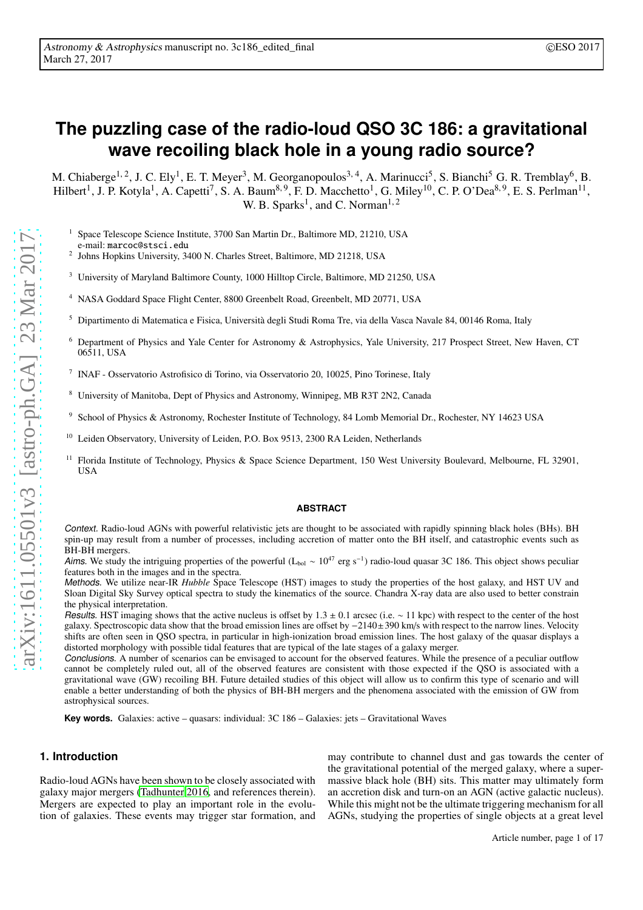# **The puzzling case of the radio-loud QSO 3C 186: a gravitational wave recoiling black hole in a young radio source?**

M. Chiaberge<sup>1, 2</sup>, J. C. Ely<sup>1</sup>, E. T. Meyer<sup>3</sup>, M. Georganopoulos<sup>3, 4</sup>, A. Marinucci<sup>5</sup>, S. Bianchi<sup>5</sup> G. R. Tremblay<sup>6</sup>, B. Hilbert<sup>1</sup>, J. P. Kotyla<sup>1</sup>, A. Capetti<sup>7</sup>, S. A. Baum<sup>8, 9</sup>, F. D. Macchetto<sup>1</sup>, G. Miley<sup>10</sup>, C. P. O'Dea<sup>8, 9</sup>, E. S. Perlman<sup>11</sup>, W. B. Sparks<sup>1</sup>, and C. Norman<sup>1, 2</sup>

<sup>1</sup> Space Telescope Science Institute, 3700 San Martin Dr., Baltimore MD, 21210, USA

e-mail: marcoc@stsci.edu

- 2 Johns Hopkins University, 3400 N. Charles Street, Baltimore, MD 21218, USA
- <sup>3</sup> University of Maryland Baltimore County, 1000 Hilltop Circle, Baltimore, MD 21250, USA
- <sup>4</sup> NASA Goddard Space Flight Center, 8800 Greenbelt Road, Greenbelt, MD 20771, USA
- <sup>5</sup> Dipartimento di Matematica e Fisica, Università degli Studi Roma Tre, via della Vasca Navale 84, 00146 Roma, Italy
- <sup>6</sup> Department of Physics and Yale Center for Astronomy & Astrophysics, Yale University, 217 Prospect Street, New Haven, CT 06511, USA
- 7 INAF Osservatorio Astrofisico di Torino, via Osservatorio 20, 10025, Pino Torinese, Italy
- <sup>8</sup> University of Manitoba, Dept of Physics and Astronomy, Winnipeg, MB R3T 2N2, Canada
- <sup>9</sup> School of Physics & Astronomy, Rochester Institute of Technology, 84 Lomb Memorial Dr., Rochester, NY 14623 USA
- Leiden Observatory, University of Leiden, P.O. Box 9513, 2300 RA Leiden, Netherlands
- <sup>11</sup> Florida Institute of Technology, Physics & Space Science Department, 150 West University Boulevard, Melbourne, FL 32901, **IISA**

#### **ABSTRACT**

Context. Radio-loud AGNs with powerful relativistic jets are thought to be associated with rapidly spinning black holes (BHs). BH spin-up may result from a number of processes, including accretion of matter onto the BH itself, and catastrophic events such as BH-BH mergers.

Aims. We study the intriguing properties of the powerful (L<sub>bol</sub> ~ 10<sup>47</sup> erg s<sup>-1</sup>) radio-loud quasar 3C 186. This object shows peculiar features both in the images and in the spectra.

Methods. We utilize near-IR *Hubble* Space Telescope (HST) images to study the properties of the host galaxy, and HST UV and Sloan Digital Sky Survey optical spectra to study the kinematics of the source. Chandra X-ray data are also used to better constrain the physical interpretation.

Results. HST imaging shows that the active nucleus is offset by 1.3  $\pm$  0.1 arcsec (i.e.  $\sim$  11 kpc) with respect to the center of the host galaxy. Spectroscopic data show that the broad emission lines are offset by −2140±390 km/s with respect to the narrow lines. Velocity shifts are often seen in QSO spectra, in particular in high-ionization broad emission lines. The host galaxy of the quasar displays a distorted morphology with possible tidal features that are typical of the late stages of a galaxy merger.

Conclusions. A number of scenarios can be envisaged to account for the observed features. While the presence of a peculiar outflow cannot be completely ruled out, all of the observed features are consistent with those expected if the QSO is associated with a gravitational wave (GW) recoiling BH. Future detailed studies of this object will allow us to confirm this type of scenario and will enable a better understanding of both the physics of BH-BH mergers and the phenomena associated with the emission of GW from astrophysical sources.

**Key words.** Galaxies: active – quasars: individual: 3C 186 – Galaxies: jets – Gravitational Waves

# **1. Introduction**

Radio-loud AGNs have been shown to be closely associated with galaxy major mergers [\(Tadhunter 2016,](#page-13-0) and references therein). Mergers are expected to play an important role in the evolution of galaxies. These events may trigger star formation, and may contribute to channel dust and gas towards the center of the gravitational potential of the merged galaxy, where a supermassive black hole (BH) sits. This matter may ultimately form an accretion disk and turn-on an AGN (active galactic nucleus). While this might not be the ultimate triggering mechanism for all AGNs, studying the properties of single objects at a great level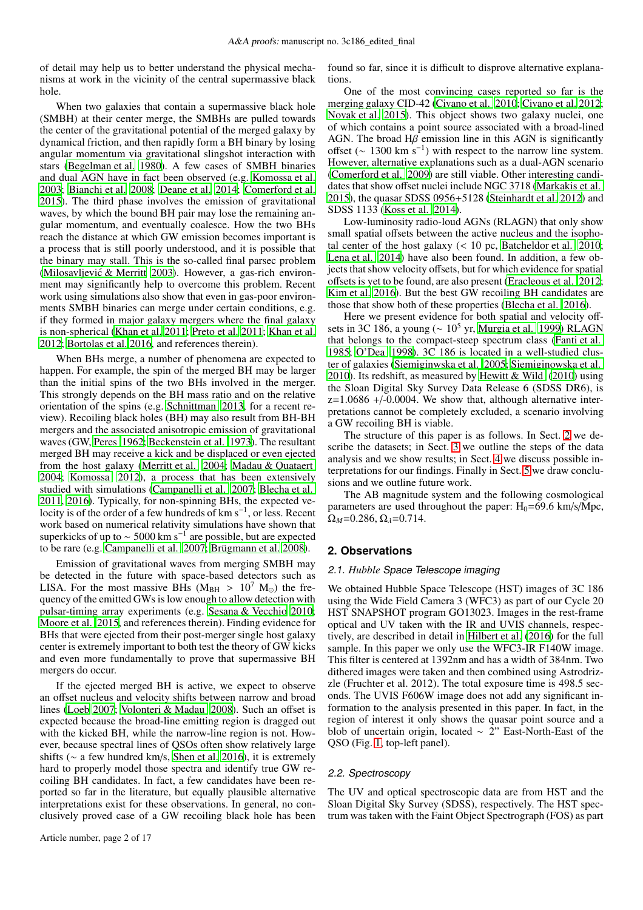of detail may help us to better understand the physical mechanisms at work in the vicinity of the central supermassive black hole.

When two galaxies that contain a supermassive black hole (SMBH) at their center merge, the SMBHs are pulled towards the center of the gravitational potential of the merged galaxy by dynamical friction, and then rapidly form a BH binary by losing angular momentum via gravitational slingshot interaction with stars [\(Begelman et al. 1980](#page-12-0)). A few cases of SMBH binaries and dual AGN have in fact been observed (e.g. [Komossa et al.](#page-12-1) [2003;](#page-12-1) [Bianchi et al. 2008;](#page-12-2) [Deane et al. 2014;](#page-12-3) [Comerford et al.](#page-12-4) [2015\)](#page-12-4). The third phase involves the emission of gravitational waves, by which the bound BH pair may lose the remaining angular momentum, and eventually coalesce. How the two BHs reach the distance at which GW emission becomes important is a process that is still poorly understood, and it is possible that the binary may stall. This is the so-called final parsec problem (Milosavljević & Merritt 2003). However, a gas-rich environment may significantly help to overcome this problem. Recent work using simulations also show that even in gas-poor environments SMBH binaries can merge under certain conditions, e.g. if they formed in major galaxy mergers where the final galaxy is non-spherical [\(Khan et al. 2011;](#page-12-5) [Preto et al. 2011](#page-13-2); [Khan et](#page-12-6) al. [2012;](#page-12-6) [Bortolas et al. 2016](#page-12-7), and references therein).

When BHs merge, a number of phenomena are expected to happen. For example, the spin of the merged BH may be larger than the initial spins of the two BHs involved in the merger. This strongly depends on the BH mass ratio and on the relative orientation of the spins (e.g. [Schnittman 2013,](#page-13-3) for a recent review). Recoiling black holes (BH) may also result from BH-BH mergers and the associated anisotropic emission of gravitational waves (GW, [Peres 1962;](#page-13-4) [Beckenstein et al. 1973\)](#page-12-8). The resultant merged BH may receive a kick and be displaced or even ejected from the host galaxy [\(Merritt et al. 2004;](#page-13-5) [Madau & Quataert](#page-12-9) [2004;](#page-12-9) [Komossa 2012\)](#page-12-10), a process that has been extensively studied with simulations [\(Campanelli et al. 2007;](#page-12-11) [Blecha et](#page-12-12) al. [2011,](#page-12-12) [2016](#page-12-13)). Typically, for non-spinning BHs, the expected velocity is of the order of a few hundreds of km s<sup>-1</sup>, or less. Recent work based on numerical relativity simulations have shown that superkicks of up to  $\sim$  5000 km s<sup>-1</sup> are possible, but are expected to be rare (e.g. [Campanelli et al. 2007;](#page-12-11) [Brügmann et al. 2008\)](#page-12-14).

Emission of gravitational waves from merging SMBH may be detected in the future with space-based detectors such as LISA. For the most massive BHs ( $M_{BH} > 10^7$  M<sub>☉</sub>) the frequency of the emitted GWs is low enough to allow detection with pulsar-timing array experiments (e.g. [Sesana & Vecchio 2010](#page-13-6); [Moore et al. 2015,](#page-13-7) and references therein). Finding evidence for BHs that were ejected from their post-merger single host galaxy center is extremely important to both test the theory of GW kicks and even more fundamentally to prove that supermassive BH mergers do occur.

If the ejected merged BH is active, we expect to observe an offset nucleus and velocity shifts between narrow and broad lines [\(Loeb 2007;](#page-12-15) [Volonteri & Madau 2008](#page-13-8)). Such an offset is expected because the broad-line emitting region is dragged out with the kicked BH, while the narrow-line region is not. However, because spectral lines of QSOs often show relatively large shifts (∼ a few hundred km/s, [Shen et al. 2016\)](#page-13-9), it is extremely hard to properly model those spectra and identify true GW recoiling BH candidates. In fact, a few candidates have been reported so far in the literature, but equally plausible alternative interpretations exist for these observations. In general, no conclusively proved case of a GW recoiling black hole has been found so far, since it is difficult to disprove alternative explanations.

One of the most convincing cases reported so far is the merging galaxy CID-42 [\(Civano et al. 2010](#page-12-16); [Civano et al. 2012;](#page-12-17) [Novak et al. 2015](#page-13-10)). This object shows two galaxy nuclei, one of which contains a point source associated with a broad-lined AGN. The broad  $H\beta$  emission line in this AGN is significantly offset ( $\sim 1300 \text{ km s}^{-1}$ ) with respect to the narrow line system. However, alternative explanations such as a dual-AGN scenario [\(Comerford et al. 2009](#page-12-18)) are still viable. Other interesting candidates that show offset nuclei include NGC 3718 [\(Markakis et al.](#page-13-11) [2015\)](#page-13-11), the quasar SDSS 0956+5128 [\(Steinhardt et al. 2012](#page-13-12)) and SDSS 1133 [\(Koss et al. 2014\)](#page-12-19).

Low-luminosity radio-loud AGNs (RLAGN) that only show small spatial offsets between the active nucleus and the isophotal center of the host galaxy  $\left($  < 10 pc. [Batcheldor et al. 2010;](#page-12-20) [Lena et al. 2014\)](#page-12-21) have also been found. In addition, a few objects that show velocity offsets, but for which evidence for spatial offsets is yet to be found, are also present [\(Eracleous et al. 2012;](#page-12-22) [Kim et al. 2016\)](#page-12-23). But the best GW recoiling BH candidates are those that show both of these properties [\(Blecha et al. 2016\)](#page-12-13).

Here we present evidence for both spatial and velocity offsets in 3C 186, a young ( $\sim 10^5$  yr, [Murgia et al. 1999\)](#page-13-13) RLAGN that belongs to the compact-steep spectrum class [\(Fanti et al.](#page-12-24) [1985;](#page-12-24) [O'Dea 1998\)](#page-13-14). 3C 186 is located in a well-studied cluster of galaxies [\(Siemiginwska et al. 2005;](#page-13-15) [Siemiginowska et](#page-13-16) al. [2010\)](#page-13-16). Its redshift, as measured by Hewitt & Wild  $(2010)$  using the Sloan Digital Sky Survey Data Release 6 (SDSS DR6), is  $z=1.0686 + (-0.0004$ . We show that, although alternative interpretations cannot be completely excluded, a scenario involving a GW recoiling BH is viable.

The structure of this paper is as follows. In Sect. [2](#page-1-0) we describe the datasets; in Sect. [3](#page-2-0) we outline the steps of the data analysis and we show results; in Sect. [4](#page-8-0) we discuss possible interpretations for our findings. Finally in Sect. [5](#page-11-0) we draw conclusions and we outline future work.

The AB magnitude system and the following cosmological parameters are used throughout the paper:  $H_0=69.6 \text{ km/s/Mpc}$ ,  $\Omega_M$ =0.286,  $\Omega_{\lambda}$ =0.714.

# <span id="page-1-0"></span>**2. Observations**

## 2.1. *Hubble* Space Telescope imaging

We obtained Hubble Space Telescope (HST) images of 3C 186 using the Wide Field Camera 3 (WFC3) as part of our Cycle 20 HST SNAPSHOT program GO13023. Images in the rest-frame optical and UV taken with the IR and UVIS channels, respectively, are described in detail in [Hilbert et al. \(2016\)](#page-12-26) for the full sample. In this paper we only use the WFC3-IR F140W image. This filter is centered at 1392nm and has a width of 384nm. Two dithered images were taken and then combined using Astrodrizzle (Fruchter et al. 2012). The total exposure time is 498.5 seconds. The UVIS F606W image does not add any significant information to the analysis presented in this paper. In fact, in the region of interest it only shows the quasar point source and a blob of uncertain origin, located  $\sim$  2" East-North-East of the QSO (Fig. [1,](#page-3-0) top-left panel).

# 2.2. Spectroscopy

The UV and optical spectroscopic data are from HST and the Sloan Digital Sky Survey (SDSS), respectively. The HST spectrum was taken with the Faint Object Spectrograph (FOS) as part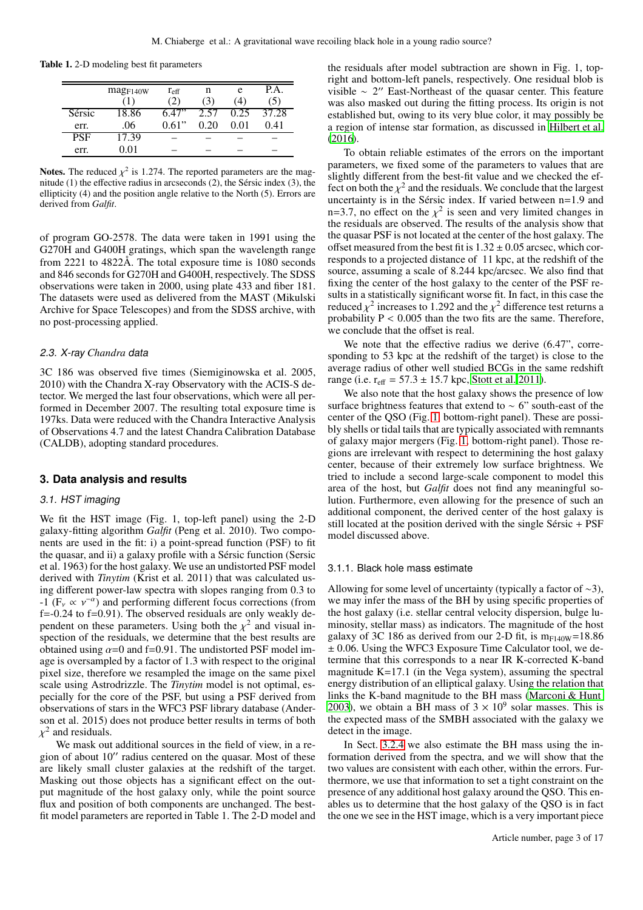Table 1. 2-D modeling best fit parameters

|            | mag <sub>F140W</sub> | $r_{\rm eff}$<br>$\left( 2\right)$ | n<br>$\cdot 3$ | e<br>4 | P.A.  |
|------------|----------------------|------------------------------------|----------------|--------|-------|
| Sérsic     | 18.86                | 6 47"                              | 2.57           | 0.25   | 37.28 |
| err.       | .06                  | 0.61"                              | 0.20           | O O 1  | 0.41  |
| <b>PSF</b> | 17.39                |                                    |                |        |       |
| err.       | $\rm 0.01$           |                                    |                |        |       |

**Notes.** The reduced  $\chi^2$  is 1.274. The reported parameters are the magnitude (1) the effective radius in arcseconds (2), the Sérsic index (3), the ellipticity (4) and the position angle relative to the North (5). Errors are derived from *Galfit*.

of program GO-2578. The data were taken in 1991 using the G270H and G400H gratings, which span the wavelength range from 2221 to 4822Å. The total exposure time is 1080 seconds and 846 seconds for G270H and G400H, respectively. The SDSS observations were taken in 2000, using plate 433 and fiber 181. The datasets were used as delivered from the MAST (Mikulski Archive for Space Telescopes) and from the SDSS archive, with no post-processing applied.

# 2.3. X-ray *Chandra* data

3C 186 was observed five times (Siemiginowska et al. 2005, 2010) with the Chandra X-ray Observatory with the ACIS-S detector. We merged the last four observations, which were all performed in December 2007. The resulting total exposure time is 197ks. Data were reduced with the Chandra Interactive Analysis of Observations 4.7 and the latest Chandra Calibration Database (CALDB), adopting standard procedures.

# <span id="page-2-0"></span>**3. Data analysis and results**

#### 3.1. HST imaging

We fit the HST image (Fig. 1, top-left panel) using the 2-D galaxy-fitting algorithm *Galfit* (Peng et al. 2010). Two components are used in the fit: i) a point-spread function (PSF) to fit the quasar, and ii) a galaxy profile with a Sérsic function (Sersic et al. 1963) for the host galaxy. We use an undistorted PSF model derived with *Tinytim* (Krist et al. 2011) that was calculated using different power-law spectra with slopes ranging from 0.3 to -1 ( $F_v \propto v^{-\alpha}$ ) and performing different focus corrections (from  $f=-0.24$  to  $f=0.91$ ). The observed residuals are only weakly dependent on these parameters. Using both the  $\chi^2$  and visual inspection of the residuals, we determine that the best results are obtained using  $\alpha$ =0 and f=0.91. The undistorted PSF model image is oversampled by a factor of 1.3 with respect to the original pixel size, therefore we resampled the image on the same pixel scale using Astrodrizzle. The *Tinytim* model is not optimal, especially for the core of the PSF, but using a PSF derived from observations of stars in the WFC3 PSF library database (Anderson et al. 2015) does not produce better results in terms of both  $\chi^2$  and residuals.

We mask out additional sources in the field of view, in a region of about 10′′ radius centered on the quasar. Most of these are likely small cluster galaxies at the redshift of the target. Masking out those objects has a significant effect on the output magnitude of the host galaxy only, while the point source flux and position of both components are unchanged. The bestfit model parameters are reported in Table 1. The 2-D model and the residuals after model subtraction are shown in Fig. 1, topright and bottom-left panels, respectively. One residual blob is visible ∼ 2 ′′ East-Northeast of the quasar center. This feature was also masked out during the fitting process. Its origin is not established but, owing to its very blue color, it may possibly be a region of intense star formation, as discussed in [Hilbert et al.](#page-12-26) [\(2016\)](#page-12-26).

To obtain reliable estimates of the errors on the important parameters, we fixed some of the parameters to values that are slightly different from the best-fit value and we checked the effect on both the  $\chi^2$  and the residuals. We conclude that the largest uncertainty is in the Sérsic index. If varied between n=1.9 and n=3.7, no effect on the  $\chi^2$  is seen and very limited changes in the residuals are observed. The results of the analysis show that the quasar PSF is not located at the center of the host galaxy. The offset measured from the best fit is  $1.32 \pm 0.05$  arcsec, which corresponds to a projected distance of 11 kpc, at the redshift of the source, assuming a scale of 8.244 kpc/arcsec. We also find that fixing the center of the host galaxy to the center of the PSF results in a statistically significant worse fit. In fact, in this case the reduced  $\chi^2$  increases to 1.292 and the  $\chi^2$  difference test returns a probability  $P < 0.005$  than the two fits are the same. Therefore, we conclude that the offset is real.

We note that the effective radius we derive  $(6.47)$ <sup>"</sup>, corresponding to 53 kpc at the redshift of the target) is close to the average radius of other well studied BCGs in the same redshift range (i.e.  $r_{\text{eff}} = 57.3 \pm 15.7$  kpc, [Stott et al. 2011\)](#page-13-17).

We also note that the host galaxy shows the presence of low surface brightness features that extend to ∼ 6" south-east of the center of the QSO (Fig. [1,](#page-3-0) bottom-right panel). These are possibly shells or tidal tails that are typically associated with remnants of galaxy major mergers (Fig. [1,](#page-3-0) bottom-right panel). Those regions are irrelevant with respect to determining the host galaxy center, because of their extremely low surface brightness. We tried to include a second large-scale component to model this area of the host, but *Galfit* does not find any meaningful solution. Furthermore, even allowing for the presence of such an additional component, the derived center of the host galaxy is still located at the position derived with the single Sérsic + PSF model discussed above.

#### <span id="page-2-1"></span>3.1.1. Black hole mass estimate

Allowing for some level of uncertainty (typically a factor of ∼3), we may infer the mass of the BH by using specific properties of the host galaxy (i.e. stellar central velocity dispersion, bulge luminosity, stellar mass) as indicators. The magnitude of the host galaxy of 3C 186 as derived from our 2-D fit, is  $m_{F140W}$ =18.86  $\pm$  0.06. Using the WFC3 Exposure Time Calculator tool, we determine that this corresponds to a near IR K-corrected K-band magnitude K=17.1 (in the Vega system), assuming the spectral energy distribution of an elliptical galaxy. Using the relation that links the K-band magnitude to the BH mass [\(Marconi & Hunt](#page-12-27) [2003\)](#page-12-27), we obtain a BH mass of  $3 \times 10^9$  solar masses. This is the expected mass of the SMBH associated with the galaxy we detect in the image.

In Sect. [3.2.4](#page-7-0) we also estimate the BH mass using the information derived from the spectra, and we will show that the two values are consistent with each other, within the errors. Furthermore, we use that information to set a tight constraint on the presence of any additional host galaxy around the QSO. This enables us to determine that the host galaxy of the QSO is in fact the one we see in the HST image, which is a very important piece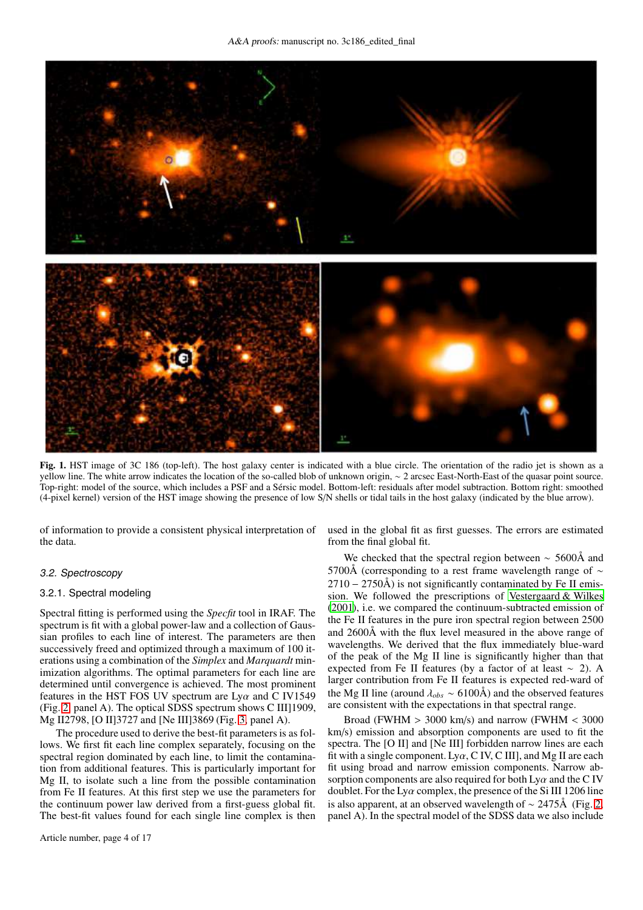

<span id="page-3-0"></span>Fig. 1. HST image of 3C 186 (top-left). The host galaxy center is indicated with a blue circle. The orientation of the radio jet is shown as a yellow line. The white arrow indicates the location of the so-called blob of unknown origin, ∼ 2 arcsec East-North-East of the quasar point source. Top-right: model of the source, which includes a PSF and a Sérsic model. Bottom-left: residuals after model subtraction. Bottom right: smoothed (4-pixel kernel) version of the HST image showing the presence of low S/N shells or tidal tails in the host galaxy (indicated by the blue arrow).

of information to provide a consistent physical interpretation of the data.

## <span id="page-3-1"></span>3.2. Spectroscopy

#### 3.2.1. Spectral modeling

Spectral fitting is performed using the *Specfit* tool in IRAF. The spectrum is fit with a global power-law and a collection of Gaussian profiles to each line of interest. The parameters are then successively freed and optimized through a maximum of 100 iterations using a combination of the *Simplex* and *Marquardt* minimization algorithms. The optimal parameters for each line are determined until convergence is achieved. The most prominent features in the HST FOS UV spectrum are  $Ly\alpha$  and C IV1549 (Fig. [2,](#page-4-0) panel A). The optical SDSS spectrum shows C III]1909, Mg II2798, [O II]3727 and [Ne III]3869 (Fig. [3,](#page-5-0) panel A).

The procedure used to derive the best-fit parameters is as follows. We first fit each line complex separately, focusing on the spectral region dominated by each line, to limit the contamination from additional features. This is particularly important for Mg II, to isolate such a line from the possible contamination from Fe II features. At this first step we use the parameters for the continuum power law derived from a first-guess global fit. The best-fit values found for each single line complex is then used in the global fit as first guesses. The errors are estimated from the final global fit.

We checked that the spectral region between  $\sim$  5600Å and 5700Å (corresponding to a rest frame wavelength range of  $\sim$  $2710 - 2750\text{\AA}$ ) is not significantly contaminated by Fe II emission. We followed the prescriptions of [Vestergaard & Wilkes](#page-13-18) [\(2001\)](#page-13-18), i.e. we compared the continuum-subtracted emission of the Fe II features in the pure iron spectral region between 2500 and 2600Å with the flux level measured in the above range of wavelengths. We derived that the flux immediately blue-ward of the peak of the Mg II line is significantly higher than that expected from Fe II features (by a factor of at least  $\sim$  2). A larger contribution from Fe II features is expected red-ward of the Mg II line (around  $\lambda_{obs} \sim 6100\text{\AA})$  and the observed features are consistent with the expectations in that spectral range.

Broad (FWHM  $> 3000$  km/s) and narrow (FWHM  $< 3000$ km/s) emission and absorption components are used to fit the spectra. The [O II] and [Ne III] forbidden narrow lines are each fit with a single component. Ly $\alpha$ , C IV, C III, and Mg II are each fit using broad and narrow emission components. Narrow absorption components are also required for both  $Ly\alpha$  and the C IV doublet. For the  $Ly\alpha$  complex, the presence of the Si III 1206 line is also apparent, at an observed wavelength of ∼ 2475Å (Fig. [2,](#page-4-0) panel A). In the spectral model of the SDSS data we also include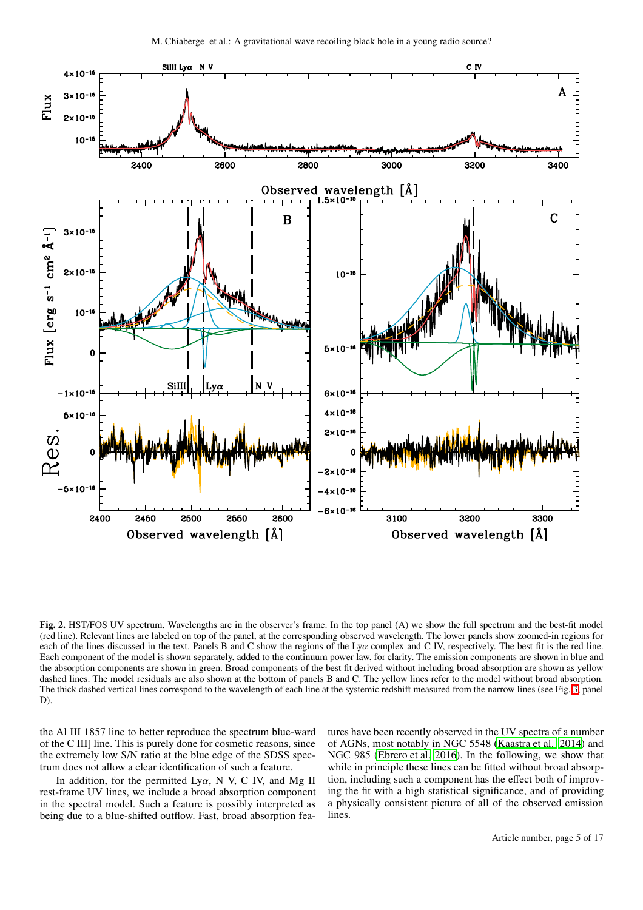

<span id="page-4-0"></span>Fig. 2. HST/FOS UV spectrum. Wavelengths are in the observer's frame. In the top panel (A) we show the full spectrum and the best-fit model (red line). Relevant lines are labeled on top of the panel, at the corresponding observed wavelength. The lower panels show zoomed-in regions for each of the lines discussed in the text. Panels B and C show the regions of the Lyα complex and C IV, respectively. The best fit is the red line. Each component of the model is shown separately, added to the continuum power law, for clarity. The emission components are shown in blue and the absorption components are shown in green. Broad components of the best fit derived without including broad absorption are shown as yellow dashed lines. The model residuals are also shown at the bottom of panels B and C. The yellow lines refer to the model without broad absorption. The thick dashed vertical lines correspond to the wavelength of each line at the systemic redshift measured from the narrow lines (see Fig. [3,](#page-5-0) panel D).

the Al III 1857 line to better reproduce the spectrum blue-ward of the C III] line. This is purely done for cosmetic reasons, since the extremely low S/N ratio at the blue edge of the SDSS spectrum does not allow a clear identification of such a feature.

In addition, for the permitted Ly $\alpha$ , N V, C IV, and Mg II rest-frame UV lines, we include a broad absorption component in the spectral model. Such a feature is possibly interpreted as being due to a blue-shifted outflow. Fast, broad absorption features have been recently observed in the UV spectra of a number of AGNs, most notably in NGC 5548 [\(Kaastra et al. 2014\)](#page-12-28) and NGC 985 [\(Ebrero et al. 2016\)](#page-12-29). In the following, we show that while in principle these lines can be fitted without broad absorption, including such a component has the effect both of improving the fit with a high statistical significance, and of providing a physically consistent picture of all of the observed emission lines.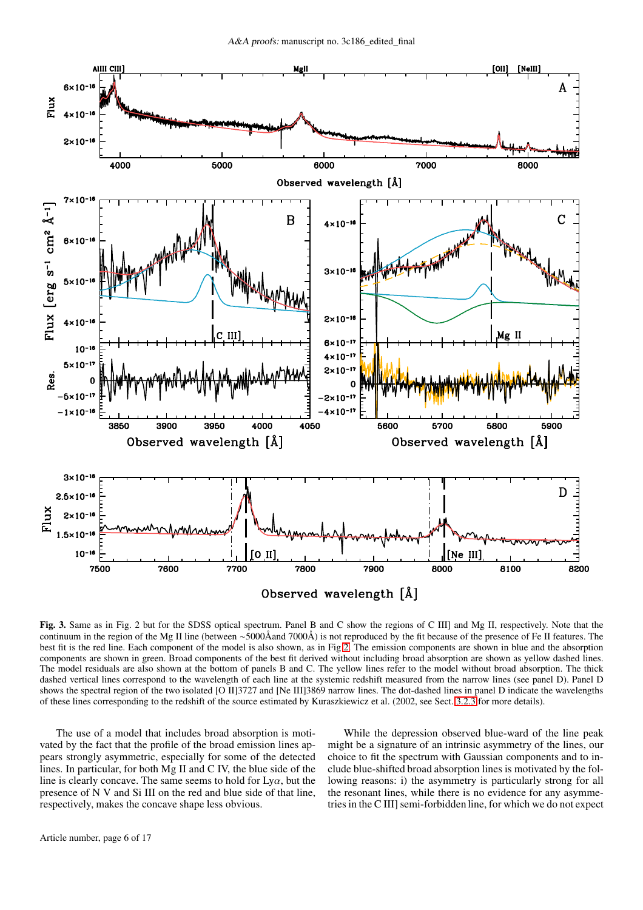

<span id="page-5-0"></span>Fig. 3. Same as in Fig. 2 but for the SDSS optical spectrum. Panel B and C show the regions of C III] and Mg II, respectively. Note that the continuum in the region of the Mg II line (between ∼5000Åand 7000Å) is not reproduced by the fit because of the presence of Fe II features. The best fit is the red line. Each component of the model is also shown, as in Fig [2.](#page-4-0) The emission components are shown in blue and the absorption components are shown in green. Broad components of the best fit derived without including broad absorption are shown as yellow dashed lines. The model residuals are also shown at the bottom of panels B and C. The yellow lines refer to the model without broad absorption. The thick dashed vertical lines correspond to the wavelength of each line at the systemic redshift measured from the narrow lines (see panel D). Panel D shows the spectral region of the two isolated [O II]3727 and [Ne III]3869 narrow lines. The dot-dashed lines in panel D indicate the wavelengths of these lines corresponding to the redshift of the source estimated by Kuraszkiewicz et al. (2002, see Sect. [3.2.3](#page-6-0) for more details).

The use of a model that includes broad absorption is motivated by the fact that the profile of the broad emission lines appears strongly asymmetric, especially for some of the detected lines. In particular, for both Mg II and C IV, the blue side of the line is clearly concave. The same seems to hold for  $Ly\alpha$ , but the presence of N V and Si III on the red and blue side of that line, respectively, makes the concave shape less obvious.

While the depression observed blue-ward of the line peak might be a signature of an intrinsic asymmetry of the lines, our choice to fit the spectrum with Gaussian components and to include blue-shifted broad absorption lines is motivated by the following reasons: i) the asymmetry is particularly strong for all the resonant lines, while there is no evidence for any asymmetries in the C III] semi-forbidden line, for which we do not expect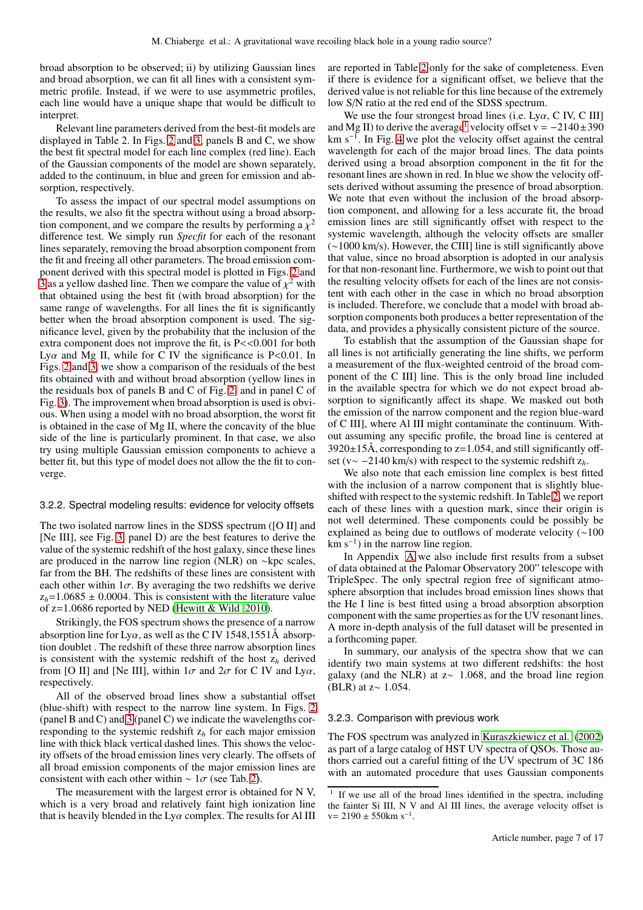broad absorption to be observed; ii) by utilizing Gaussian lines and broad absorption, we can fit all lines with a consistent symmetric profile. Instead, if we were to use asymmetric profiles, each line would have a unique shape that would be difficult to interpret.

Relevant line parameters derived from the best-fit models are displayed in Table 2. In Figs. [2](#page-4-0) and [3,](#page-5-0) panels B and C, we show the best fit spectral model for each line complex (red line). Each of the Gaussian components of the model are shown separately, added to the continuum, in blue and green for emission and absorption, respectively.

To assess the impact of our spectral model assumptions on the results, we also fit the spectra without using a broad absorption component, and we compare the results by performing a  $\chi^2$ difference test. We simply run *Specfit* for each of the resonant lines separately, removing the broad absorption component from the fit and freeing all other parameters. The broad emission component derived with this spectral model is plotted in Figs. [2](#page-4-0) and [3](#page-5-0) as a yellow dashed line. Then we compare the value of  $\chi^2$  with that obtained using the best fit (with broad absorption) for the same range of wavelengths. For all lines the fit is significantly better when the broad absorption component is used. The significance level, given by the probability that the inclusion of the extra component does not improve the fit, is P<<0.001 for both Ly $\alpha$  and Mg II, while for C IV the significance is P<0.01. In Figs. [2](#page-4-0) and [3,](#page-5-0) we show a comparison of the residuals of the best fits obtained with and without broad absorption (yellow lines in the residuals box of panels B and C of Fig. [2,](#page-4-0) and in panel C of Fig. [3\)](#page-5-0). The improvement when broad absorption is used is obvious. When using a model with no broad absorption, the worst fit is obtained in the case of Mg II, where the concavity of the blue side of the line is particularly prominent. In that case, we also try using multiple Gaussian emission components to achieve a better fit, but this type of model does not allow the the fit to converge.

# <span id="page-6-2"></span>3.2.2. Spectral modeling results: evidence for velocity offsets

The two isolated narrow lines in the SDSS spectrum ([O II] and [Ne III], see Fig. [3,](#page-5-0) panel D) are the best features to derive the value of the systemic redshift of the host galaxy, since these lines are produced in the narrow line region (NLR) on ∼kpc scales, far from the BH. The redshifts of these lines are consistent with each other within  $1\sigma$ . By averaging the two redshifts we derive  $z_h$ =1.0685  $\pm$  0.0004. This is consistent with the literature value of z=1.0686 reported by NED [\(Hewitt & Wild 2010\)](#page-12-25).

Strikingly, the FOS spectrum shows the presence of a narrow absorption line for Ly $\alpha$ , as well as the C IV 1548,1551Å absorption doublet . The redshift of these three narrow absorption lines is consistent with the systemic redshift of the host  $z_h$  derived from [O II] and [Ne III], within  $1\sigma$  and  $2\sigma$  for C IV and Lya, respectively.

All of the observed broad lines show a substantial offset (blue-shift) with respect to the narrow line system. In Figs. [2](#page-4-0) (panel B and C) and  $\overline{3}$  (panel C) we indicate the wavelengths corresponding to the systemic redshift z*<sup>h</sup>* for each major emission line with thick black vertical dashed lines. This shows the velocity offsets of the broad emission lines very clearly. The offsets of all broad emission components of the major emission lines are consistent with each other within  $\sim 1\sigma$  (see Tab. [2\)](#page-7-1).

The measurement with the largest error is obtained for N V, which is a very broad and relatively faint high ionization line that is heavily blended in the  $Ly\alpha$  complex. The results for Al III are reported in Table [2](#page-7-1) only for the sake of completeness. Even if there is evidence for a significant offset, we believe that the derived value is not reliable for this line because of the extremely low S/N ratio at the red end of the SDSS spectrum.

We use the four strongest broad lines (i.e.  $Ly\alpha$ , C IV, C III) and Mg II) to derive the average<sup>[1](#page-6-1)</sup> velocity offset v =  $-2140\pm390$ km s<sup>−</sup><sup>1</sup> . In Fig. [4](#page-8-1) we plot the velocity offset against the central wavelength for each of the major broad lines. The data points derived using a broad absorption component in the fit for the resonant lines are shown in red. In blue we show the velocity offsets derived without assuming the presence of broad absorption. We note that even without the inclusion of the broad absorption component, and allowing for a less accurate fit, the broad emission lines are still significantly offset with respect to the systemic wavelength, although the velocity offsets are smaller (∼1000 km/s). However, the CIII] line is still significantly above that value, since no broad absorption is adopted in our analysis for that non-resonant line. Furthermore, we wish to point out that the resulting velocity offsets for each of the lines are not consistent with each other in the case in which no broad absorption is included. Therefore, we conclude that a model with broad absorption components both produces a better representation of the data, and provides a physically consistent picture of the source.

To establish that the assumption of the Gaussian shape for all lines is not artificially generating the line shifts, we perform a measurement of the flux-weighted centroid of the broad component of the C III] line. This is the only broad line included in the available spectra for which we do not expect broad absorption to significantly affect its shape. We masked out both the emission of the narrow component and the region blue-ward of C III], where Al III might contaminate the continuum. Without assuming any specific profile, the broad line is centered at  $3920\pm15$ Å, corresponding to z=1.054, and still significantly offset (v∼ −2140 km/s) with respect to the systemic redshift z*h*.

We also note that each emission line complex is best fitted with the inclusion of a narrow component that is slightly blueshifted with respect to the systemic redshift. In Table [2,](#page-7-1) we report each of these lines with a question mark, since their origin is not well determined. These components could be possibly be explained as being due to outflows of moderate velocity (∼100  $km s^{-1}$ ) in the narrow line region.

In Appendix [A](#page-14-0) we also include first results from a subset of data obtained at the Palomar Observatory 200" telescope with TripleSpec. The only spectral region free of significant atmosphere absorption that includes broad emission lines shows that the He I line is best fitted using a broad absorption absorption component with the same properties as for the UV resonant lines. A more in-depth analysis of the full dataset will be presented in a forthcoming paper.

In summary, our analysis of the spectra show that we can identify two main systems at two different redshifts: the host galaxy (and the NLR) at z∼ 1.068, and the broad line region (BLR) at z∼ 1.054.

## <span id="page-6-0"></span>3.2.3. Comparison with previous work

The FOS spectrum was analyzed in [Kuraszkiewicz et al. \(2002](#page-12-30)) as part of a large catalog of HST UV spectra of QSOs. Those authors carried out a careful fitting of the UV spectrum of 3C 186 with an automated procedure that uses Gaussian components

<span id="page-6-1"></span><sup>1</sup> If we use all of the broad lines identified in the spectra, including the fainter Si III, N V and Al III lines, the average velocity offset is  $v= 2190 \pm 550$ km s<sup>-1</sup>.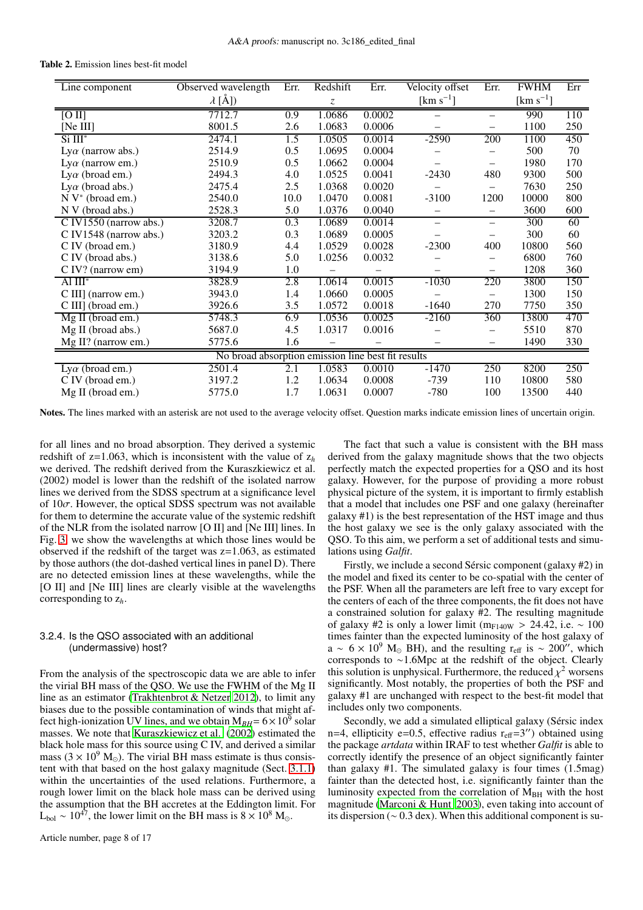<span id="page-7-1"></span>

| Line component                                     | Observed wavelength | Err. | Redshift | Err.   | Velocity offset          | Err.                     | <b>FWHM</b>           | Err |  |
|----------------------------------------------------|---------------------|------|----------|--------|--------------------------|--------------------------|-----------------------|-----|--|
|                                                    | $\lambda$ [Å])      |      | Z        |        | [ $km s^{-1}$ ]          |                          | [km s <sup>-1</sup> ] |     |  |
| [O II]                                             | 7712.7              | 0.9  | 1.0686   | 0.0002 |                          | $\overline{\phantom{0}}$ | 990                   | 110 |  |
| [Ne III]                                           | 8001.5              | 2.6  | 1.0683   | 0.0006 |                          | $\overline{\phantom{0}}$ | 1100                  | 250 |  |
| $Si III^*$                                         | 2474.1              | 1.5  | 1.0505   | 0.0014 | $-2590$                  | 200                      | 1100                  | 450 |  |
| $Ly\alpha$ (narrow abs.)                           | 2514.9              | 0.5  | 1.0695   | 0.0004 |                          |                          | 500                   | 70  |  |
| $Ly\alpha$ (narrow em.)                            | 2510.9              | 0.5  | 1.0662   | 0.0004 |                          | $\overline{\phantom{0}}$ | 1980                  | 170 |  |
| Ly $\alpha$ (broad em.)                            | 2494.3              | 4.0  | 1.0525   | 0.0041 | $-2430$                  | 480                      | 9300                  | 500 |  |
| Ly $\alpha$ (broad abs.)                           | 2475.4              | 2.5  | 1.0368   | 0.0020 |                          |                          | 7630                  | 250 |  |
| $N V^*$ (broad em.)                                | 2540.0              | 10.0 | 1.0470   | 0.0081 | $-3100$                  | 1200                     | 10000                 | 800 |  |
| N V (broad abs.)                                   | 2528.3              | 5.0  | 1.0376   | 0.0040 |                          | $\overline{\phantom{0}}$ | 3600                  | 600 |  |
| C IV1550 (narrow abs.)                             | 3208.7              | 0.3  | 1.0689   | 0.0014 | $\overline{\phantom{0}}$ | $\overline{\phantom{0}}$ | 300                   | 60  |  |
| C IV1548 (narrow abs.)                             | 3203.2              | 0.3  | 1.0689   | 0.0005 |                          | —                        | 300                   | 60  |  |
| C IV (broad em.)                                   | 3180.9              | 4.4  | 1.0529   | 0.0028 | $-2300$                  | 400                      | 10800                 | 560 |  |
| C IV (broad abs.)                                  | 3138.6              | 5.0  | 1.0256   | 0.0032 |                          | $\overline{\phantom{0}}$ | 6800                  | 760 |  |
| C IV? (narrow em)                                  | 3194.9              | 1.0  |          |        |                          | $\overline{\phantom{0}}$ | 1208                  | 360 |  |
| Al $III^*$                                         | 3828.9              | 2.8  | 1.0614   | 0.0015 | $-1030$                  | 220                      | 3800                  | 150 |  |
| C III] (narrow em.)                                | 3943.0              | 1.4  | 1.0660   | 0.0005 |                          | $\overline{\phantom{0}}$ | 1300                  | 150 |  |
| C III] (broad em.)                                 | 3926.6              | 3.5  | 1.0572   | 0.0018 | $-1640$                  | 270                      | 7750                  | 350 |  |
| Mg II (broad em.)                                  | 5748.3              | 6.9  | 1.0536   | 0.0025 | $-2160$                  | 360                      | 13800                 | 470 |  |
| Mg II (broad abs.)                                 | 5687.0              | 4.5  | 1.0317   | 0.0016 |                          | -                        | 5510                  | 870 |  |
| Mg II? (narrow em.)                                | 5775.6              | 1.6  |          |        |                          |                          | 1490                  | 330 |  |
| No broad absorption emission line best fit results |                     |      |          |        |                          |                          |                       |     |  |
| Ly $\alpha$ (broad em.)                            | 2501.4              | 2.1  | 1.0583   | 0.0010 | $-1470$                  | 250                      | 8200                  | 250 |  |
| C IV (broad em.)                                   | 3197.2              | 1.2  | 1.0634   | 0.0008 | $-739$                   | 110                      | 10800                 | 580 |  |
| Mg II (broad em.)                                  | 5775.0              | 1.7  | 1.0631   | 0.0007 | $-780$                   | 100                      | 13500                 | 440 |  |

Table 2. Emission lines best-fit model

Notes. The lines marked with an asterisk are not used to the average velocity offset. Question marks indicate emission lines of uncertain origin.

for all lines and no broad absorption. They derived a systemic redshift of  $z=1.063$ , which is inconsistent with the value of  $z<sub>h</sub>$ we derived. The redshift derived from the Kuraszkiewicz et al. (2002) model is lower than the redshift of the isolated narrow lines we derived from the SDSS spectrum at a significance level of  $10\sigma$ . However, the optical SDSS spectrum was not available for them to determine the accurate value of the systemic redshift of the NLR from the isolated narrow [O II] and [Ne III] lines. In Fig. [3,](#page-5-0) we show the wavelengths at which those lines would be observed if the redshift of the target was  $z=1.063$ , as estimated by those authors (the dot-dashed vertical lines in panel D). There are no detected emission lines at these wavelengths, while the [O II] and [Ne III] lines are clearly visible at the wavelengths corresponding to z*h*.

# <span id="page-7-0"></span>3.2.4. Is the QSO associated with an additional (undermassive) host?

From the analysis of the spectroscopic data we are able to infer the virial BH mass of the QSO. We use the FWHM of the Mg II line as an estimator [\(Trakhtenbrot & Netzer 2012](#page-13-19)), to limit any biases due to the possible contamination of winds that might affect high-ionization UV lines, and we obtain  $M_{BH} = 6 \times 10^5$  solar masses. We note that [Kuraszkiewicz et al. \(2002\)](#page-12-30) estimated the black hole mass for this source using C IV, and derived a similar mass ( $3 \times 10^9$  M<sub>☉</sub>). The virial BH mass estimate is thus consistent with that based on the host galaxy magnitude (Sect. [3.1.1\)](#page-2-1) within the uncertainties of the used relations. Furthermore, a rough lower limit on the black hole mass can be derived using the assumption that the BH accretes at the Eddington limit. For L<sub>bol</sub> ~ 10<sup>47</sup>, the lower limit on the BH mass is  $8 \times 10^8$  M<sub>☉</sub>.

The fact that such a value is consistent with the BH mass derived from the galaxy magnitude shows that the two objects perfectly match the expected properties for a QSO and its host galaxy. However, for the purpose of providing a more robust physical picture of the system, it is important to firmly establish that a model that includes one PSF and one galaxy (hereinafter galaxy #1) is the best representation of the HST image and thus the host galaxy we see is the only galaxy associated with the QSO. To this aim, we perform a set of additional tests and simulations using *Galfit*.

Firstly, we include a second Sérsic component (galaxy #2) in the model and fixed its center to be co-spatial with the center of the PSF. When all the parameters are left free to vary except for the centers of each of the three components, the fit does not have a constrained solution for galaxy #2. The resulting magnitude of galaxy #2 is only a lower limit (m<sub>F140W</sub> > 24.42, i.e. ~ 100 times fainter than the expected luminosity of the host galaxy of  $a \sim 6 \times 10^9$  M<sub>☉</sub> BH), and the resulting r<sub>eff</sub> is ~ 200<sup>''</sup>, which corresponds to ∼1.6Mpc at the redshift of the object. Clearly this solution is unphysical. Furthermore, the reduced  $\chi^2$  worsens significantly. Most notably, the properties of both the PSF and galaxy #1 are unchanged with respect to the best-fit model that includes only two components.

Secondly, we add a simulated elliptical galaxy (Sérsic index n=4, ellipticity e=0.5, effective radius  $r_{\text{eff}} = 3''$ ) obtained using the package *artdata* within IRAF to test whether *Galfit* is able to correctly identify the presence of an object significantly fainter than galaxy  $#1$ . The simulated galaxy is four times  $(1.5 \text{mag})$ fainter than the detected host, i.e. significantly fainter than the luminosity expected from the correlation of M<sub>BH</sub> with the host magnitude [\(Marconi & Hunt 2003\)](#page-12-27), even taking into account of its dispersion (∼ 0.3 dex). When this additional component is su-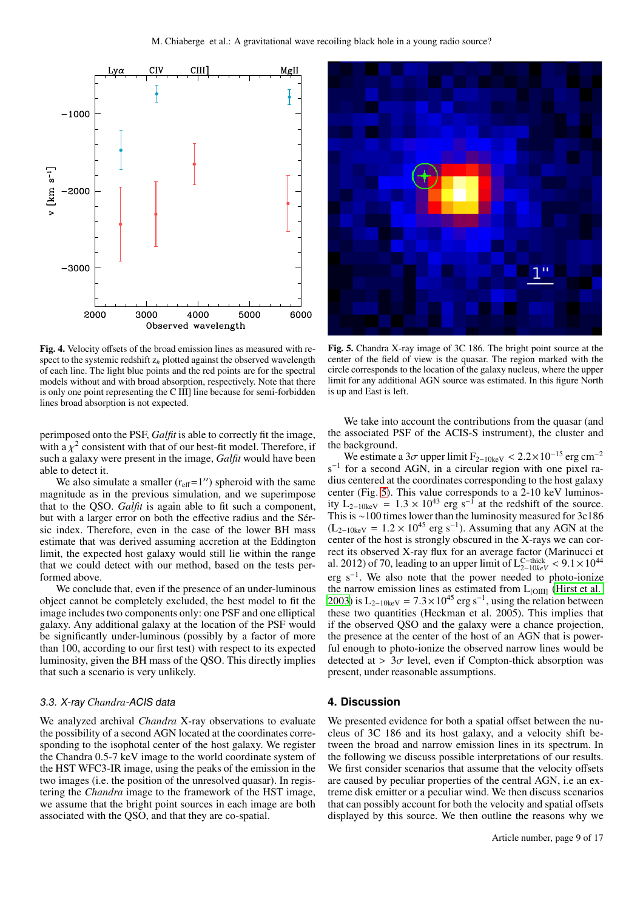

<span id="page-8-1"></span>Fig. 4. Velocity offsets of the broad emission lines as measured with respect to the systemic redshift z*<sup>h</sup>* plotted against the observed wavelength of each line. The light blue points and the red points are for the spectral models without and with broad absorption, respectively. Note that there is only one point representing the C III] line because for semi-forbidden lines broad absorption is not expected.

perimposed onto the PSF, *Galfit* is able to correctly fit the image, with a  $\chi^2$  consistent with that of our best-fit model. Therefore, if such a galaxy were present in the image, *Galfit* would have been able to detect it.

We also simulate a smaller  $(r_{\text{eff}}=1'')$  spheroid with the same magnitude as in the previous simulation, and we superimpose that to the QSO. *Galfit* is again able to fit such a component, but with a larger error on both the effective radius and the Sérsic index. Therefore, even in the case of the lower BH mass estimate that was derived assuming accretion at the Eddington limit, the expected host galaxy would still lie within the range that we could detect with our method, based on the tests performed above.

We conclude that, even if the presence of an under-luminous object cannot be completely excluded, the best model to fit the image includes two components only: one PSF and one elliptical galaxy. Any additional galaxy at the location of the PSF would be significantly under-luminous (possibly by a factor of more than 100, according to our first test) with respect to its expected luminosity, given the BH mass of the QSO. This directly implies that such a scenario is very unlikely.

# <span id="page-8-3"></span>3.3. X-ray *Chandra*-ACIS data

We analyzed archival *Chandra* X-ray observations to evaluate the possibility of a second AGN located at the coordinates corresponding to the isophotal center of the host galaxy. We register the Chandra 0.5-7 keV image to the world coordinate system of the HST WFC3-IR image, using the peaks of the emission in the two images (i.e. the position of the unresolved quasar). In registering the *Chandra* image to the framework of the HST image, we assume that the bright point sources in each image are both associated with the QSO, and that they are co-spatial.



<span id="page-8-2"></span>Fig. 5. Chandra X-ray image of 3C 186. The bright point source at the center of the field of view is the quasar. The region marked with the circle corresponds to the location of the galaxy nucleus, where the upper limit for any additional AGN source was estimated. In this figure North is up and East is left.

We take into account the contributions from the quasar (and the associated PSF of the ACIS-S instrument), the cluster and the background.

We estimate a  $3\sigma$  upper limit  $F_{2-10\text{keV}} < 2.2 \times 10^{-15}$  erg cm<sup>-2</sup> s<sup>-1</sup> for a second AGN, in a circular region with one pixel radius centered at the coordinates corresponding to the host galaxy center (Fig. [5\)](#page-8-2). This value corresponds to a 2-10 keV luminosity  $L_{2-10keV} = 1.3 \times 10^{43}$  erg s<sup>-1</sup> at the redshift of the source. This is ∼100 times lower than the luminosity measured for 3c186  $(L_{2-10\text{keV}} = 1.2 \times 10^{45} \text{ erg s}^{-1})$ . Assuming that any AGN at the center of the host is strongly obscured in the X-rays we can correct its observed X-ray flux for an average factor (Marinucci et al. 2012) of 70, leading to an upper limit of  $L_{2-10keV}^{C-thick} < 9.1 \times 10^{44}$ erg  $s^{-1}$ . We also note that the power needed to photo-ionize the narrow emission lines as estimated from  $L_{[OIII]}$  [\(Hirst et al.](#page-12-31) [2003\)](#page-12-31) is L<sub>2−10keV</sub> =  $7.3 \times 10^{45}$  erg s<sup>-1</sup>, using the relation between these two quantities (Heckman et al. 2005). This implies that if the observed QSO and the galaxy were a chance projection, the presence at the center of the host of an AGN that is powerful enough to photo-ionize the observed narrow lines would be detected at  $> 3\sigma$  level, even if Compton-thick absorption was present, under reasonable assumptions.

# <span id="page-8-0"></span>**4. Discussion**

We presented evidence for both a spatial offset between the nucleus of 3C 186 and its host galaxy, and a velocity shift between the broad and narrow emission lines in its spectrum. In the following we discuss possible interpretations of our results. We first consider scenarios that assume that the velocity offsets are caused by peculiar properties of the central AGN, i.e an extreme disk emitter or a peculiar wind. We then discuss scenarios that can possibly account for both the velocity and spatial offsets displayed by this source. We then outline the reasons why we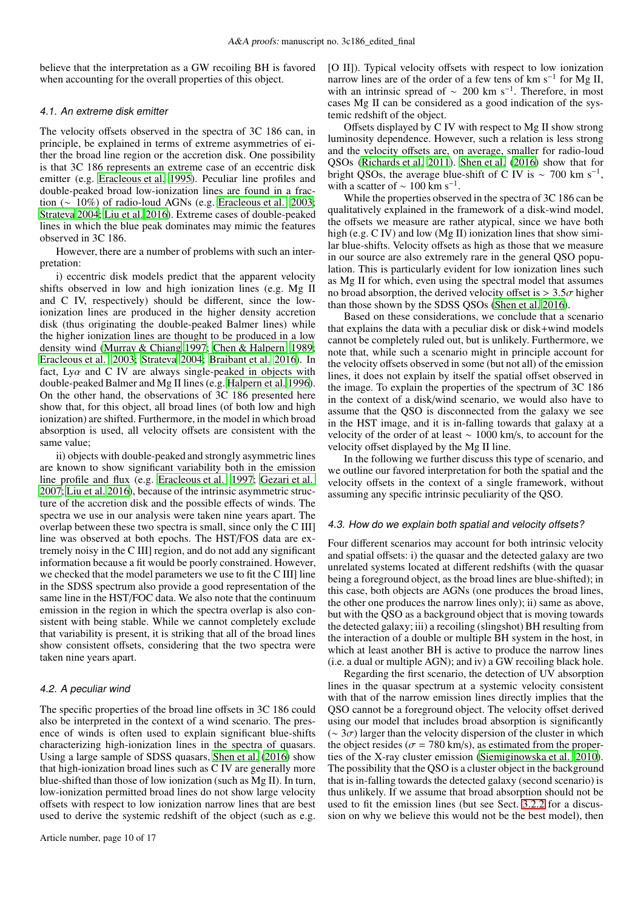believe that the interpretation as a GW recoiling BH is favored when accounting for the overall properties of this object.

## 4.1. An extreme disk emitter

The velocity offsets observed in the spectra of 3C 186 can, in principle, be explained in terms of extreme asymmetries of either the broad line region or the accretion disk. One possibility is that 3C 186 represents an extreme case of an eccentric disk emitter (e.g. [Eracleous et al. 1995\)](#page-12-32). Peculiar line profiles and double-peaked broad low-ionization lines are found in a fraction (∼ 10%) of radio-loud AGNs (e.g. [Eracleous et al. 2003](#page-12-33); [Strateva 2004;](#page-13-20) [Liu et al. 2016\)](#page-12-34). Extreme cases of double-peaked lines in which the blue peak dominates may mimic the features observed in 3C 186.

However, there are a number of problems with such an interpretation:

i) eccentric disk models predict that the apparent velocity shifts observed in low and high ionization lines (e.g. Mg II and C IV, respectively) should be different, since the lowionization lines are produced in the higher density accretion disk (thus originating the double-peaked Balmer lines) while the higher ionization lines are thought to be produced in a low density wind [\(Murray & Chiang 1997;](#page-13-21) [Chen & Halpern 1989](#page-12-35); [Eracleous et al. 2003;](#page-12-33) [Strateva 2004](#page-13-20); [Braibant et al. 2016\)](#page-12-36). In fact, Ly $\alpha$  and C IV are always single-peaked in objects with double-peaked Balmer and Mg II lines (e.g. [Halpern et al. 1996](#page-12-37)). On the other hand, the observations of 3C 186 presented here show that, for this object, all broad lines (of both low and high ionization) are shifted. Furthermore, in the model in which broad absorption is used, all velocity offsets are consistent with the same value;

ii) objects with double-peaked and strongly asymmetric lines are known to show significant variability both in the emission line profile and flux (e.g. [Eracleous et al. 1997](#page-12-38); [Gezari et al.](#page-12-39) [2007;](#page-12-39) [Liu et al. 2016\)](#page-12-34), because of the intrinsic asymmetric structure of the accretion disk and the possible effects of winds. The spectra we use in our analysis were taken nine years apart. The overlap between these two spectra is small, since only the C III] line was observed at both epochs. The HST/FOS data are extremely noisy in the C III] region, and do not add any significant information because a fit would be poorly constrained. However, we checked that the model parameters we use to fit the C III] line in the SDSS spectrum also provide a good representation of the same line in the HST/FOC data. We also note that the continuum emission in the region in which the spectra overlap is also consistent with being stable. While we cannot completely exclude that variability is present, it is striking that all of the broad lines show consistent offsets, considering that the two spectra were taken nine years apart.

# 4.2. A peculiar wind

The specific properties of the broad line offsets in 3C 186 could also be interpreted in the context of a wind scenario. The presence of winds is often used to explain significant blue-shifts characterizing high-ionization lines in the spectra of quasars. Using a large sample of SDSS quasars, [Shen et al. \(2016](#page-13-9)) show that high-ionization broad lines such as C IV are generally more blue-shifted than those of low ionization (such as Mg II). In turn, low-ionization permitted broad lines do not show large velocity offsets with respect to low ionization narrow lines that are best used to derive the systemic redshift of the object (such as e.g.

[O II]). Typical velocity offsets with respect to low ionization narrow lines are of the order of a few tens of km s<sup>-1</sup> for Mg II, with an intrinsic spread of  $\sim 200$  km s<sup>-1</sup>. Therefore, in most cases Mg II can be considered as a good indication of the systemic redshift of the object.

Offsets displayed by C IV with respect to Mg II show strong luminosity dependence. However, such a relation is less strong and the velocity offsets are, on average, smaller for radio-loud QSOs [\(Richards et al. 2011](#page-13-22)). [Shen et al. \(2016](#page-13-9)) show that for bright QSOs, the average blue-shift of C IV is  $\sim 700$  km s<sup>-1</sup>, with a scatter of  $\sim 100$  km s<sup>-1</sup>.

While the properties observed in the spectra of 3C 186 can be qualitatively explained in the framework of a disk-wind model, the offsets we measure are rather atypical, since we have both high (e.g. C IV) and low (Mg II) ionization lines that show similar blue-shifts. Velocity offsets as high as those that we measure in our source are also extremely rare in the general QSO population. This is particularly evident for low ionization lines such as Mg II for which, even using the spectral model that assumes no broad absorption, the derived velocity offset is  $> 3.5\sigma$  higher than those shown by the SDSS QSOs [\(Shen et al. 2016](#page-13-9)).

Based on these considerations, we conclude that a scenario that explains the data with a peculiar disk or disk+wind models cannot be completely ruled out, but is unlikely. Furthermore, we note that, while such a scenario might in principle account for the velocity offsets observed in some (but not all) of the emission lines, it does not explain by itself the spatial offset observed in the image. To explain the properties of the spectrum of 3C 186 in the context of a disk/wind scenario, we would also have to assume that the QSO is disconnected from the galaxy we see in the HST image, and it is in-falling towards that galaxy at a velocity of the order of at least ∼ 1000 km/s, to account for the velocity offset displayed by the Mg II line.

In the following we further discuss this type of scenario, and we outline our favored interpretation for both the spatial and the velocity offsets in the context of a single framework, without assuming any specific intrinsic peculiarity of the QSO.

# <span id="page-9-0"></span>4.3. How do we explain both spatial and velocity offsets?

Four different scenarios may account for both intrinsic velocity and spatial offsets: i) the quasar and the detected galaxy are two unrelated systems located at different redshifts (with the quasar being a foreground object, as the broad lines are blue-shifted); in this case, both objects are AGNs (one produces the broad lines, the other one produces the narrow lines only); ii) same as above, but with the QSO as a background object that is moving towards the detected galaxy; iii) a recoiling (slingshot) BH resulting from the interaction of a double or multiple BH system in the host, in which at least another BH is active to produce the narrow lines (i.e. a dual or multiple AGN); and iv) a GW recoiling black hole.

Regarding the first scenario, the detection of UV absorption lines in the quasar spectrum at a systemic velocity consistent with that of the narrow emission lines directly implies that the QSO cannot be a foreground object. The velocity offset derived using our model that includes broad absorption is significantly  $({\sim}3\sigma)$  larger than the velocity dispersion of the cluster in which the object resides ( $\sigma$  = 780 km/s), as estimated from the properties of the X-ray cluster emission [\(Siemiginowska et al. 2010\)](#page-13-16). The possibility that the QSO is a cluster object in the background that is in-falling towards the detected galaxy (second scenario) is thus unlikely. If we assume that broad absorption should not be used to fit the emission lines (but see Sect. [3.2.2](#page-6-2) for a discussion on why we believe this would not be the best model), then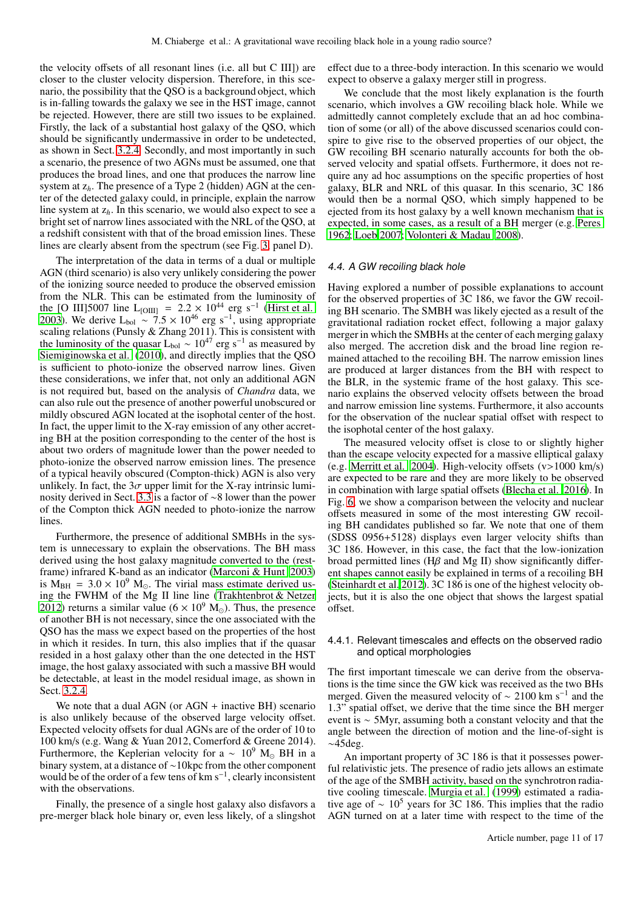the velocity offsets of all resonant lines (i.e. all but C III]) are closer to the cluster velocity dispersion. Therefore, in this scenario, the possibility that the QSO is a background object, which is in-falling towards the galaxy we see in the HST image, cannot be rejected. However, there are still two issues to be explained. Firstly, the lack of a substantial host galaxy of the QSO, which should be significantly undermassive in order to be undetected, as shown in Sect. [3.2.4.](#page-7-0) Secondly, and most importantly in such a scenario, the presence of two AGNs must be assumed, one that produces the broad lines, and one that produces the narrow line system at z*h*. The presence of a Type 2 (hidden) AGN at the center of the detected galaxy could, in principle, explain the narrow line system at z*h*. In this scenario, we would also expect to see a bright set of narrow lines associated with the NRL of the QSO, at a redshift consistent with that of the broad emission lines. These lines are clearly absent from the spectrum (see Fig. [3,](#page-5-0) panel D).

The interpretation of the data in terms of a dual or multiple AGN (third scenario) is also very unlikely considering the power of the ionizing source needed to produce the observed emission from the NLR. This can be estimated from the luminosity of the [O III]5007 line L<sub>[OIII]</sub> = 2.2 × 10<sup>44</sup> erg s<sup>-1</sup> [\(Hirst et al.](#page-12-31) [2003\)](#page-12-31). We derive L<sub>bol</sub> ~ 7.5 × 10<sup>46</sup> erg s<sup>-1</sup>, using appropriate scaling relations (Punsly & Zhang 2011). This is consistent with the luminosity of the quasar  $L_{bol} \sim 10^{47}$  erg s<sup>-1</sup> as measured by [Siemiginowska et al.](#page-13-16) [\(2010\)](#page-13-16), and directly implies that the QSO is sufficient to photo-ionize the observed narrow lines. Given these considerations, we infer that, not only an additional AGN is not required but, based on the analysis of *Chandra* data, we can also rule out the presence of another powerful unobscured or mildly obscured AGN located at the isophotal center of the host. In fact, the upper limit to the X-ray emission of any other accreting BH at the position corresponding to the center of the host is about two orders of magnitude lower than the power needed to photo-ionize the observed narrow emission lines. The presence of a typical heavily obscured (Compton-thick) AGN is also very unlikely. In fact, the  $3\sigma$  upper limit for the X-ray intrinsic luminosity derived in Sect. [3.3](#page-8-3) is a factor of ∼8 lower than the power of the Compton thick AGN needed to photo-ionize the narrow lines.

Furthermore, the presence of additional SMBHs in the system is unnecessary to explain the observations. The BH mass derived using the host galaxy magnitude converted to the (restframe) infrared K-band as an indicator [\(Marconi & Hunt 2003\)](#page-12-27) is  $M_{BH}$  = 3.0 × 10<sup>9</sup> M<sub>o</sub>. The virial mass estimate derived using the FWHM of the Mg II line line [\(Trakhtenbrot & Netzer](#page-13-19) [2012\)](#page-13-19) returns a similar value ( $6 \times 10^9$  M<sub>☉</sub>). Thus, the presence of another BH is not necessary, since the one associated with the QSO has the mass we expect based on the properties of the host in which it resides. In turn, this also implies that if the quasar resided in a host galaxy other than the one detected in the HST image, the host galaxy associated with such a massive BH would be detectable, at least in the model residual image, as shown in Sect. [3.2.4.](#page-7-0)

We note that a dual AGN (or  $AGN +$  inactive BH) scenario is also unlikely because of the observed large velocity offset. Expected velocity offsets for dual AGNs are of the order of 10 to 100 km/s (e.g. Wang & Yuan 2012, Comerford & Greene 2014). Furthermore, the Keplerian velocity for a  $\sim 10^9$  M<sub>☉</sub> BH in a binary system, at a distance of ∼10kpc from the other component would be of the order of a few tens of km s<sup>−</sup><sup>1</sup> , clearly inconsistent with the observations.

Finally, the presence of a single host galaxy also disfavors a pre-merger black hole binary or, even less likely, of a slingshot effect due to a three-body interaction. In this scenario we would expect to observe a galaxy merger still in progress.

We conclude that the most likely explanation is the fourth scenario, which involves a GW recoiling black hole. While we admittedly cannot completely exclude that an ad hoc combination of some (or all) of the above discussed scenarios could conspire to give rise to the observed properties of our object, the GW recoiling BH scenario naturally accounts for both the observed velocity and spatial offsets. Furthermore, it does not require any ad hoc assumptions on the specific properties of host galaxy, BLR and NRL of this quasar. In this scenario, 3C 186 would then be a normal QSO, which simply happened to be ejected from its host galaxy by a well known mechanism that is expected, in some cases, as a result of a BH merger (e.g. [Peres](#page-13-4) [1962;](#page-13-4) [Loeb 2007;](#page-12-15) [Volonteri & Madau 2008\)](#page-13-8).

# 4.4. A GW recoiling black hole

Having explored a number of possible explanations to account for the observed properties of 3C 186, we favor the GW recoiling BH scenario. The SMBH was likely ejected as a result of the gravitational radiation rocket effect, following a major galaxy merger in which the SMBHs at the center of each merging galaxy also merged. The accretion disk and the broad line region remained attached to the recoiling BH. The narrow emission lines are produced at larger distances from the BH with respect to the BLR, in the systemic frame of the host galaxy. This scenario explains the observed velocity offsets between the broad and narrow emission line systems. Furthermore, it also accounts for the observation of the nuclear spatial offset with respect to the isophotal center of the host galaxy.

The measured velocity offset is close to or slightly higher than the escape velocity expected for a massive elliptical galaxy (e.g. [Merritt et al. 2004\)](#page-13-5). High-velocity offsets (v>1000 km/s) are expected to be rare and they are more likely to be observed in combination with large spatial offsets [\(Blecha et al. 2016\)](#page-12-13). In Fig. [6,](#page-11-1) we show a comparison between the velocity and nuclear offsets measured in some of the most interesting GW recoiling BH candidates published so far. We note that one of them (SDSS 0956+5128) displays even larger velocity shifts than 3C 186. However, in this case, the fact that the low-ionization broad permitted lines ( $H\beta$  and Mg II) show significantly different shapes cannot easily be explained in terms of a recoiling BH [\(Steinhardt et al. 2012\)](#page-13-12). 3C 186 is one of the highest velocity objects, but it is also the one object that shows the largest spatial offset.

# 4.4.1. Relevant timescales and effects on the observed radio and optical morphologies

The first important timescale we can derive from the observations is the time since the GW kick was received as the two BHs merged. Given the measured velocity of  $\sim 2100$  km s<sup>-1</sup> and the 1.3" spatial offset, we derive that the time since the BH merger event is ∼ 5Myr, assuming both a constant velocity and that the angle between the direction of motion and the line-of-sight is ∼45deg.

An important property of 3C 186 is that it possesses powerful relativistic jets. The presence of radio jets allows an estimate of the age of the SMBH activity, based on the synchrotron radiative cooling timescale. [Murgia et al.](#page-13-13) [\(1999\)](#page-13-13) estimated a radiative age of  $\sim 10^5$  years for 3C 186. This implies that the radio AGN turned on at a later time with respect to the time of the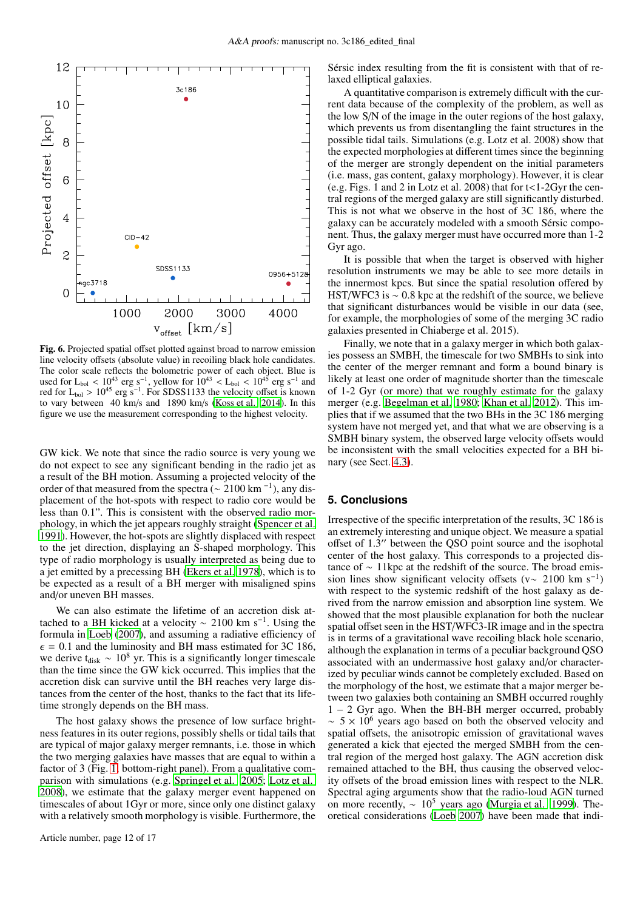

<span id="page-11-1"></span>Fig. 6. Projected spatial offset plotted against broad to narrow emission line velocity offsets (absolute value) in recoiling black hole candidates. The color scale reflects the bolometric power of each object. Blue is used for L<sub>bol</sub> < 10<sup>43</sup> erg s<sup>-1</sup>, yellow for  $10^{43}$  < L<sub>bol</sub> <  $10^{45}$  erg s<sup>-1</sup> and red for  $L_{bol} > 10^{45}$  erg s<sup>-1</sup>. For SDSS1133 the velocity offset is known to vary between 40 km/s and 1890 km/s [\(Koss et al. 2014\)](#page-12-19). In this figure we use the measurement corresponding to the highest velocity.

GW kick. We note that since the radio source is very young we do not expect to see any significant bending in the radio jet as a result of the BH motion. Assuming a projected velocity of the order of that measured from the spectra ( $\sim 2100$  km<sup>-1</sup>), any displacement of the hot-spots with respect to radio core would be less than 0.1". This is consistent with the observed radio morphology, in which the jet appears roughly straight [\(Spencer](#page-13-23) et al. [1991\)](#page-13-23). However, the hot-spots are slightly displaced with respect to the jet direction, displaying an S-shaped morphology. This type of radio morphology is usually interpreted as being due to a jet emitted by a precessing BH [\(Ekers et al. 1978\)](#page-12-40), which is to be expected as a result of a BH merger with misaligned spins and/or uneven BH masses.

We can also estimate the lifetime of an accretion disk attached to a BH kicked at a velocity  $\sim 2100 \text{ km s}^{-1}$ . Using the formula in [Loeb](#page-12-15) [\(2007\)](#page-12-15), and assuming a radiative efficiency of  $\epsilon$  = 0.1 and the luminosity and BH mass estimated for 3C 186, we derive t<sub>disk</sub> ~ 10<sup>8</sup> yr. This is a significantly longer timescale than the time since the GW kick occurred. This implies that the accretion disk can survive until the BH reaches very large distances from the center of the host, thanks to the fact that its lifetime strongly depends on the BH mass.

The host galaxy shows the presence of low surface brightness features in its outer regions, possibly shells or tidal tails that are typical of major galaxy merger remnants, i.e. those in which the two merging galaxies have masses that are equal to within a factor of 3 (Fig. [1,](#page-3-0) bottom-right panel). From a qualitative comparison with simulations (e.g. [Springel et al. 2005](#page-13-24); [Lotz et](#page-12-41) al. [2008\)](#page-12-41), we estimate that the galaxy merger event happened on timescales of about 1Gyr or more, since only one distinct galaxy with a relatively smooth morphology is visible. Furthermore, the

Sérsic index resulting from the fit is consistent with that of relaxed elliptical galaxies.

A quantitative comparison is extremely difficult with the current data because of the complexity of the problem, as well as the low S/N of the image in the outer regions of the host galaxy, which prevents us from disentangling the faint structures in the possible tidal tails. Simulations (e.g. Lotz et al. 2008) show that the expected morphologies at different times since the beginning of the merger are strongly dependent on the initial parameters (i.e. mass, gas content, galaxy morphology). However, it is clear (e.g. Figs. 1 and 2 in Lotz et al. 2008) that for  $t < 1-2Gyr$  the central regions of the merged galaxy are still significantly disturbed. This is not what we observe in the host of 3C 186, where the galaxy can be accurately modeled with a smooth Sérsic component. Thus, the galaxy merger must have occurred more than 1-2 Gyr ago.

It is possible that when the target is observed with higher resolution instruments we may be able to see more details in the innermost kpcs. But since the spatial resolution offered by HST/WFC3 is ∼ 0.8 kpc at the redshift of the source, we believe that significant disturbances would be visible in our data (see, for example, the morphologies of some of the merging 3C radio galaxies presented in Chiaberge et al. 2015).

Finally, we note that in a galaxy merger in which both galaxies possess an SMBH, the timescale for two SMBHs to sink into the center of the merger remnant and form a bound binary is likely at least one order of magnitude shorter than the timescale of 1-2 Gyr (or more) that we roughly estimate for the galaxy merger (e.g. [Begelman et al. 1980](#page-12-0); [Khan et al. 2012](#page-12-6)). This implies that if we assumed that the two BHs in the 3C 186 merging system have not merged yet, and that what we are observing is a SMBH binary system, the observed large velocity offsets would be inconsistent with the small velocities expected for a BH binary (see Sect. [4.3\)](#page-9-0).

## <span id="page-11-0"></span>**5. Conclusions**

Irrespective of the specific interpretation of the results, 3C 186 is an extremely interesting and unique object. We measure a spatial offset of 1.3 ′′ between the QSO point source and the isophotal center of the host galaxy. This corresponds to a projected distance of ∼ 11kpc at the redshift of the source. The broad emission lines show significant velocity offsets (v $\sim 2100 \text{ km s}^{-1}$ ) with respect to the systemic redshift of the host galaxy as derived from the narrow emission and absorption line system. We showed that the most plausible explanation for both the nuclear spatial offset seen in the HST/WFC3-IR image and in the spectra is in terms of a gravitational wave recoiling black hole scenario, although the explanation in terms of a peculiar background QSO associated with an undermassive host galaxy and/or characterized by peculiar winds cannot be completely excluded. Based on the morphology of the host, we estimate that a major merger between two galaxies both containing an SMBH occurred roughly 1 − 2 Gyr ago. When the BH-BH merger occurred, probably  $\sim$  5  $\times$  10<sup>6</sup> years ago based on both the observed velocity and spatial offsets, the anisotropic emission of gravitational waves generated a kick that ejected the merged SMBH from the central region of the merged host galaxy. The AGN accretion disk remained attached to the BH, thus causing the observed velocity offsets of the broad emission lines with respect to the NLR. Spectral aging arguments show that the radio-loud AGN turned on more recently, ∼ 10<sup>5</sup> years ago [\(Murgia et al. 1999](#page-13-13)). Theoretical considerations [\(Loeb 2007\)](#page-12-15) have been made that indi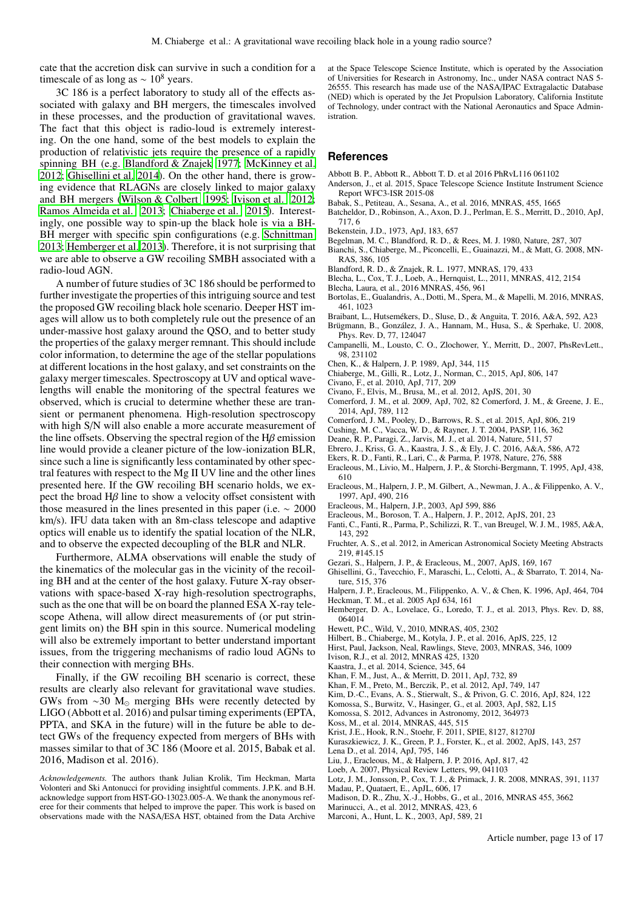cate that the accretion disk can survive in such a condition for a timescale of as long as  $\sim 10^8$  years.

3C 186 is a perfect laboratory to study all of the effects associated with galaxy and BH mergers, the timescales involved in these processes, and the production of gravitational waves. The fact that this object is radio-loud is extremely interesting. On the one hand, some of the best models to explain the production of relativistic jets require the presence of a rapidly spinning BH (e.g. [Blandford & Znajek 1977;](#page-12-42) [McKinney et al.](#page-13-25) [2012;](#page-13-25) [Ghisellini et al. 2014](#page-12-43)). On the other hand, there is growing evidence that RLAGNs are closely linked to major galaxy and BH mergers [\(Wilson & Colbert 1995;](#page-13-26) [Ivison et al. 2012](#page-12-44); [Ramos Almeida et al. 2013;](#page-13-27) [Chiaberge et al. 2015](#page-12-45)). Interestingly, one possible way to spin-up the black hole is via a BH-BH merger with specific spin configurations (e.g. [Schnittman](#page-13-3) [2013;](#page-13-3) [Hemberger et al. 2013\)](#page-12-46). Therefore, it is not surprising that we are able to observe a GW recoiling SMBH associated with a radio-loud AGN.

A number of future studies of 3C 186 should be performed to further investigate the properties of this intriguing source and test the proposed GW recoiling black hole scenario. Deeper HST images will allow us to both completely rule out the presence of an under-massive host galaxy around the QSO, and to better study the properties of the galaxy merger remnant. This should include color information, to determine the age of the stellar populations at different locations in the host galaxy, and set constraints on the galaxy merger timescales. Spectroscopy at UV and optical wavelengths will enable the monitoring of the spectral features we observed, which is crucial to determine whether these are transient or permanent phenomena. High-resolution spectroscopy with high S/N will also enable a more accurate measurement of the line offsets. Observing the spectral region of the  $H\beta$  emission line would provide a cleaner picture of the low-ionization BLR, since such a line is significantly less contaminated by other spectral features with respect to the Mg II UV line and the other lines presented here. If the GW recoiling BH scenario holds, we expect the broad  $H\beta$  line to show a velocity offset consistent with those measured in the lines presented in this paper (i.e.  $\sim 2000$ ) km/s). IFU data taken with an 8m-class telescope and adaptive optics will enable us to identify the spatial location of the NLR, and to observe the expected decoupling of the BLR and NLR.

Furthermore, ALMA observations will enable the study of the kinematics of the molecular gas in the vicinity of the recoiling BH and at the center of the host galaxy. Future X-ray observations with space-based X-ray high-resolution spectrographs, such as the one that will be on board the planned ESA X-ray telescope Athena, will allow direct measurements of (or put stringent limits on) the BH spin in this source. Numerical modeling will also be extremely important to better understand important issues, from the triggering mechanisms of radio loud AGNs to their connection with merging BHs.

Finally, if the GW recoiling BH scenario is correct, these results are clearly also relevant for gravitational wave studies. GWs from ∼30 M<sup>⊙</sup> merging BHs were recently detected by LIGO (Abbott et al. 2016) and pulsar timing experiments (EPTA, PPTA, and SKA in the future) will in the future be able to detect GWs of the frequency expected from mergers of BHs with masses similar to that of 3C 186 (Moore et al. 2015, Babak et al. 2016, Madison et al. 2016).

*Acknowledgements.* The authors thank Julian Krolik, Tim Heckman, Marta Volonteri and Ski Antonucci for providing insightful comments. J.P.K. and B.H. acknowledge support from HST-GO-13023.005-A. We thank the anonymous referee for their comments that helped to improve the paper. This work is based on observations made with the NASA/ESA HST, obtained from the Data Archive at the Space Telescope Science Institute, which is operated by the Association of Universities for Research in Astronomy, Inc., under NASA contract NAS 5- 26555. This research has made use of the NASA/IPAC Extragalactic Database (NED) which is operated by the Jet Propulsion Laboratory, California Institute of Technology, under contract with the National Aeronautics and Space Administration.

#### **References**

- Abbott B. P., Abbott R., Abbott T. D. et al 2016 PhRvL116 061102
- Anderson, J., et al. 2015, Space Telescope Science Institute Instrument Science Report WFC3-ISR 2015-08
- Babak, S., Petiteau, A., Sesana, A., et al. 2016, MNRAS, 455, 1665
- <span id="page-12-20"></span>Batcheldor, D., Robinson, A., Axon, D. J., Perlman, E. S., Merritt, D., 2010, ApJ, 717, 6
- <span id="page-12-8"></span>Bekenstein, J.D., 1973, ApJ, 183, 657
- <span id="page-12-0"></span>Begelman, M. C., Blandford, R. D., & Rees, M. J. 1980, Nature, 287, 307
- <span id="page-12-2"></span>Bianchi, S., Chiaberge, M., Piconcelli, E., Guainazzi, M., & Matt, G. 2008, MN-RAS, 386, 105
- <span id="page-12-42"></span>Blandford, R. D., & Znajek, R. L. 1977, MNRAS, 179, 433
- <span id="page-12-12"></span>Blecha, L., Cox, T. J., Loeb, A., Hernquist, L., 2011, MNRAS, 412, 2154
- <span id="page-12-13"></span>Blecha, Laura, et al., 2016 MNRAS, 456, 961
- <span id="page-12-7"></span>Bortolas, E., Gualandris, A., Dotti, M., Spera, M., & Mapelli, M. 2016, MNRAS, 461, 1023
- <span id="page-12-36"></span>Braibant, L., Hutsemékers, D., Sluse, D., & Anguita, T. 2016, A&A, 592, A23
- <span id="page-12-14"></span>Brügmann, B., González, J. A., Hannam, M., Husa, S., & Sperhake, U. 2008, Phys. Rev. D, 77, 124047
- <span id="page-12-11"></span>Campanelli, M., Lousto, C. O., Zlochower, Y., Merritt, D., 2007, PhsRevLett., 98, 231102
- <span id="page-12-35"></span>Chen, K., & Halpern, J. P. 1989, ApJ, 344, 115
- <span id="page-12-45"></span>Chiaberge, M., Gilli, R., Lotz, J., Norman, C., 2015, ApJ, 806, 147
- <span id="page-12-16"></span>Civano, F., et al. 2010, ApJ, 717, 209
- <span id="page-12-17"></span>Civano, F., Elvis, M., Brusa, M., et al. 2012, ApJS, 201, 30
- <span id="page-12-18"></span>Comerford, J. M., et al. 2009, ApJ, 702, 82 Comerford, J. M., & Greene, J. E., 2014, ApJ, 789, 112
- <span id="page-12-4"></span>Comerford, J. M., Pooley, D., Barrows, R. S., et al. 2015, ApJ, 806, 219
- <span id="page-12-47"></span>Cushing, M. C., Vacca, W. D., & Rayner, J. T. 2004, PASP, 116, 362
- <span id="page-12-3"></span>Deane, R. P., Paragi, Z., Jarvis, M. J., et al. 2014, Nature, 511, 57
- <span id="page-12-29"></span>Ebrero, J., Kriss, G. A., Kaastra, J. S., & Ely, J. C. 2016, A&A, 586, A72
- <span id="page-12-40"></span>Ekers, R. D., Fanti, R., Lari, C., & Parma, P. 1978, Nature, 276, 588
- <span id="page-12-32"></span>Eracleous, M., Livio, M., Halpern, J. P., & Storchi-Bergmann, T. 1995, ApJ, 438, 610
- <span id="page-12-38"></span>Eracleous, M., Halpern, J. P., M. Gilbert, A., Newman, J. A., & Filippenko, A. V., 1997, ApJ, 490, 216
- <span id="page-12-33"></span>Eracleous, M., Halpern, J.P., 2003, ApJ 599, 886
- <span id="page-12-22"></span>Eracleous, M., Boroson, T. A., Halpern, J. P., 2012, ApJS, 201, 23
- <span id="page-12-24"></span>Fanti, C., Fanti, R., Parma, P., Schilizzi, R. T., van Breugel, W. J. M., 1985, A&A, 143, 292
- Fruchter, A. S., et al. 2012, in American Astronomical Society Meeting Abstracts 219, #145.15
- <span id="page-12-39"></span>Gezari, S., Halpern, J. P., & Eracleous, M., 2007, ApJS, 169, 167
- <span id="page-12-43"></span>Ghisellini, G., Tavecchio, F., Maraschi, L., Celotti, A., & Sbarrato, T. 2014, Nature, 515, 376
- <span id="page-12-37"></span>Halpern, J. P., Eracleous, M., Filippenko, A. V., & Chen, K. 1996, ApJ, 464, 704 Heckman, T. M., et al. 2005 ApJ 634, 161
- <span id="page-12-46"></span>Hemberger, D. A., Lovelace, G., Loredo, T. J., et al. 2013, Phys. Rev. D, 88, 064014
- <span id="page-12-25"></span>Hewett, P.C., Wild, V., 2010, MNRAS, 405, 2302
- <span id="page-12-26"></span>Hilbert, B., Chiaberge, M., Kotyla, J. P., et al. 2016, ApJS, 225, 12
- <span id="page-12-31"></span>Hirst, Paul, Jackson, Neal, Rawlings, Steve, 2003, MNRAS, 346, 1009
- <span id="page-12-44"></span>Ivison, R.J., et al. 2012, MNRAS 425, 1320
- <span id="page-12-28"></span>Kaastra, J., et al. 2014, Science, 345, 64
- <span id="page-12-5"></span>Khan, F. M., Just, A., & Merritt, D. 2011, ApJ, 732, 89
- <span id="page-12-6"></span>Khan, F. M., Preto, M., Berczik, P., et al. 2012, ApJ, 749, 147
- <span id="page-12-23"></span>Kim, D.-C., Evans, A. S., Stierwalt, S., & Privon, G. C. 2016, ApJ, 824, 122
- <span id="page-12-1"></span>Komossa, S., Burwitz, V., Hasinger, G., et al. 2003, ApJ, 582, L15
- <span id="page-12-10"></span>Komossa, S. 2012, Advances in Astronomy, 2012, 364973
- <span id="page-12-19"></span>Koss, M., et al. 2014, MNRAS, 445, 515
- Krist, J.E., Hook, R.N., Stoehr, F. 2011, SPIE, 8127, 81270J
- <span id="page-12-30"></span>Kuraszkiewicz, J. K., Green, P. J., Forster, K., et al. 2002, ApJS, 143, 257
- <span id="page-12-21"></span>Lena D., et al. 2014, ApJ, 795, 146
- <span id="page-12-34"></span>Liu, J., Eracleous, M., & Halpern, J. P. 2016, ApJ, 817, 42
- <span id="page-12-15"></span>Loeb, A. 2007, Physical Review Letters, 99, 041103
- <span id="page-12-41"></span>Lotz, J. M., Jonsson, P., Cox, T. J., & Primack, J. R. 2008, MNRAS, 391, 1137 Madau, P., Quataert, E., ApJL, 606, 17
- <span id="page-12-9"></span>Madison, D. R., Zhu, X.-J., Hobbs, G., et al., 2016, MNRAS 455, 3662
- Marinucci, A., et al. 2012, MNRAS, 423, 6
- <span id="page-12-27"></span>Marconi, A., Hunt, L. K., 2003, ApJ, 589, 21

Article number, page 13 of 17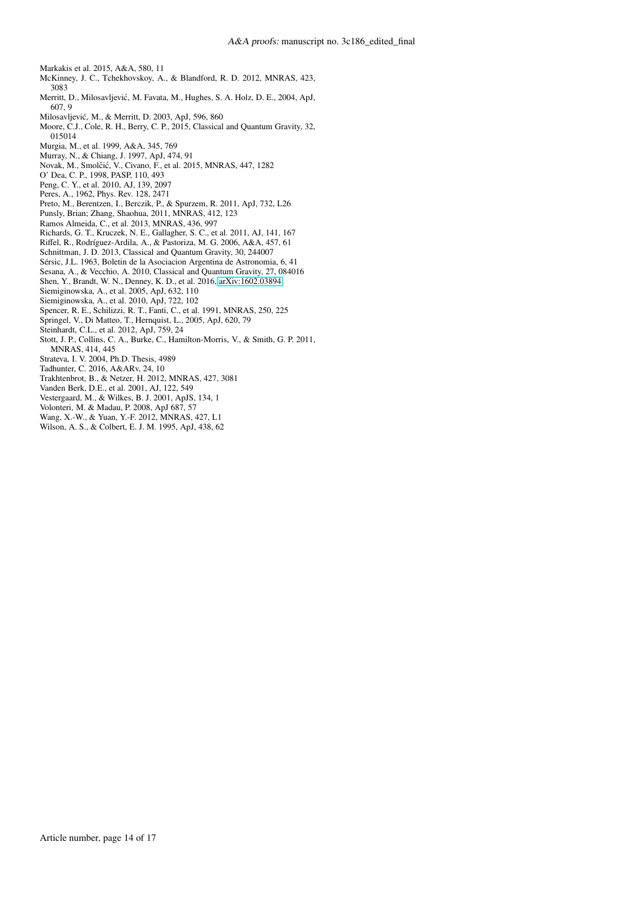<span id="page-13-11"></span>Markakis et al. 2015, A&A, 580, 11

- <span id="page-13-25"></span>McKinney, J. C., Tchekhovskoy, A., & Blandford, R. D. 2012, MNRAS, 423, 3083
- <span id="page-13-5"></span>Merritt, D., Milosavljevic, M. Favata, M., Hughes, S. A. Holz, D. E., 2004, ApJ, ´ 607, 9
- <span id="page-13-1"></span>Milosavljevic, M., & Merritt, D. 2003, ApJ, 596, 860 ´
- <span id="page-13-7"></span>Moore, C.J., Cole, R. H., Berry, C. P., 2015, Classical and Quantum Gravity, 32, 015014
- <span id="page-13-13"></span>Murgia, M., et al. 1999, A&A, 345, 769
- <span id="page-13-21"></span>Murray, N., & Chiang, J. 1997, ApJ, 474, 91
- <span id="page-13-10"></span>Novak, M., Smolčić, V., Civano, F., et al. 2015, MNRAS, 447, 1282
- <span id="page-13-14"></span>O' Dea, C. P., 1998, PASP, 110, 493
- Peng, C. Y., et al. 2010, AJ, 139, 2097
- <span id="page-13-4"></span>Peres, A., 1962, Phys. Rev. 128, 2471
- <span id="page-13-2"></span>Preto, M., Berentzen, I., Berczik, P., & Spurzem, R. 2011, ApJ, 732, L26
- Punsly, Brian; Zhang, Shaohua, 2011, MNRAS, 412, 123
- <span id="page-13-27"></span>Ramos Almeida, C., et al. 2013, MNRAS, 436, 997
- <span id="page-13-22"></span>Richards, G. T., Kruczek, N. E., Gallagher, S. C., et al. 2011, AJ, 141, 167
- <span id="page-13-28"></span>Riffel, R., Rodríguez-Ardila, A., & Pastoriza, M. G. 2006, A&A, 457, 61
- <span id="page-13-3"></span>Schnittman, J. D. 2013, Classical and Quantum Gravity, 30, 244007
- Sérsic, J.L. 1963, Boletin de la Asociacion Argentina de Astronomia, 6, 41
- <span id="page-13-6"></span>Sesana, A., & Vecchio, A. 2010, Classical and Quantum Gravity, 27, 084016
- <span id="page-13-9"></span>Shen, Y., Brandt, W. N., Denney, K. D., et al. 2016, [arXiv:1602.03894](http://arxiv.org/abs/1602.03894)
- <span id="page-13-15"></span>Siemiginowska, A., et al. 2005, ApJ, 632, 110
- <span id="page-13-16"></span>Siemiginowska, A., et al. 2010, ApJ, 722, 102
- <span id="page-13-23"></span>Spencer, R. E., Schilizzi, R. T., Fanti, C., et al. 1991, MNRAS, 250, 225
- <span id="page-13-24"></span>Springel, V., Di Matteo, T., Hernquist, L., 2005, ApJ, 620, 79
- <span id="page-13-12"></span>Steinhardt, C.L., et al. 2012, ApJ, 759, 24
- 
- <span id="page-13-17"></span>Stott, J. P., Collins, C. A., Burke, C., Hamilton-Morris, V., & Smith, G. P. 2011, MNRAS, 414, 445
- <span id="page-13-20"></span>Strateva, I. V. 2004, Ph.D. Thesis, 4989
- <span id="page-13-0"></span>Tadhunter, C. 2016, A&ARv, 24, 10
- <span id="page-13-19"></span>Trakhtenbrot, B., & Netzer, H. 2012, MNRAS, 427, 3081
- Vanden Berk, D.E., et al. 2001, AJ, 122, 549
- <span id="page-13-18"></span>Vestergaard, M., & Wilkes, B. J. 2001, ApJS, 134, 1
- <span id="page-13-8"></span>Volonteri, M. & Madau, P. 2008, ApJ 687, 57
- Wang, X.-W., & Yuan, Y.-F. 2012, MNRAS, 427, L1
- <span id="page-13-26"></span>Wilson, A. S., & Colbert, E. J. M. 1995, ApJ, 438, 62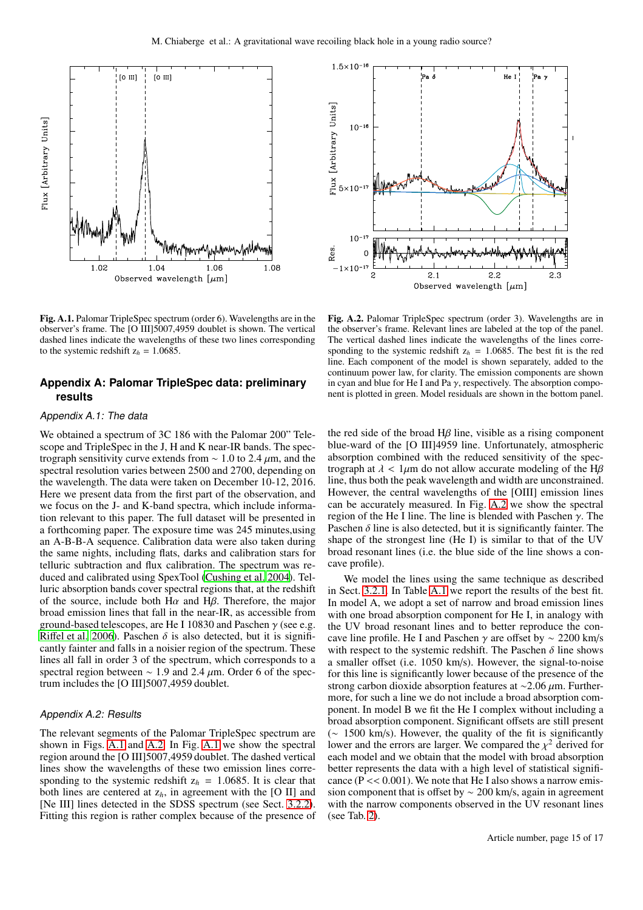

<span id="page-14-1"></span>Fig. A.1. Palomar TripleSpec spectrum (order 6). Wavelengths are in the observer's frame. The [O III]5007,4959 doublet is shown. The vertical dashed lines indicate the wavelengths of these two lines corresponding to the systemic redshift  $z_h = 1.0685$ .

# <span id="page-14-0"></span>**Appendix A: Palomar TripleSpec data: preliminary results**

## Appendix A.1: The data

We obtained a spectrum of 3C 186 with the Palomar 200" Telescope and TripleSpec in the J, H and K near-IR bands. The spectrograph sensitivity curve extends from  $\sim 1.0$  to 2.4  $\mu$ m, and the spectral resolution varies between 2500 and 2700, depending on the wavelength. The data were taken on December 10-12, 2016. Here we present data from the first part of the observation, and we focus on the J- and K-band spectra, which include information relevant to this paper. The full dataset will be presented in a forthcoming paper. The exposure time was 245 minutes,using an A-B-B-A sequence. Calibration data were also taken during the same nights, including flats, darks and calibration stars for telluric subtraction and flux calibration. The spectrum was reduced and calibrated using SpexTool [\(Cushing et al. 2004\)](#page-12-47). Telluric absorption bands cover spectral regions that, at the redshift of the source, include both  $H\alpha$  and  $H\beta$ . Therefore, the major broad emission lines that fall in the near-IR, as accessible from ground-based telescopes, are He I 10830 and Paschen  $\gamma$  (see e.g. Riff[el et al. 2006\)](#page-13-28). Paschen  $\delta$  is also detected, but it is significantly fainter and falls in a noisier region of the spectrum. These lines all fall in order 3 of the spectrum, which corresponds to a spectral region between  $\sim$  1.9 and 2.4  $\mu$ m. Order 6 of the spectrum includes the [O III]5007,4959 doublet.

## Appendix A.2: Results

The relevant segments of the Palomar TripleSpec spectrum are shown in Figs. [A.1](#page-14-1) and [A.2.](#page-14-2) In Fig. [A.1](#page-14-1) we show the spectral region around the [O III]5007,4959 doublet. The dashed vertical lines show the wavelengths of these two emission lines corresponding to the systemic redshift  $z_h$  = 1.0685. It is clear that both lines are centered at  $z_h$ , in agreement with the [O II] and [Ne III] lines detected in the SDSS spectrum (see Sect. [3.2.2\)](#page-6-2). Fitting this region is rather complex because of the presence of



<span id="page-14-2"></span>Fig. A.2. Palomar TripleSpec spectrum (order 3). Wavelengths are in the observer's frame. Relevant lines are labeled at the top of the panel. The vertical dashed lines indicate the wavelengths of the lines corresponding to the systemic redshift  $z_h = 1.0685$ . The best fit is the red line. Each component of the model is shown separately, added to the continuum power law, for clarity. The emission components are shown in cyan and blue for He I and Pa  $\gamma$ , respectively. The absorption component is plotted in green. Model residuals are shown in the bottom panel.

the red side of the broad  $H\beta$  line, visible as a rising component blue-ward of the [O III]4959 line. Unfortunately, atmospheric absorption combined with the reduced sensitivity of the spectrograph at  $\lambda$  < 1 $\mu$ m do not allow accurate modeling of the H $\beta$ line, thus both the peak wavelength and width are unconstrained. However, the central wavelengths of the [OIII] emission lines can be accurately measured. In Fig. [A.2](#page-14-2) we show the spectral region of the He I line. The line is blended with Paschen  $γ$ . The Paschen  $\delta$  line is also detected, but it is significantly fainter. The shape of the strongest line (He I) is similar to that of the UV broad resonant lines (i.e. the blue side of the line shows a concave profile).

We model the lines using the same technique as described in Sect. [3.2.1.](#page-3-1) In Table [A.1](#page-16-0) we report the results of the best fit. In model A, we adopt a set of narrow and broad emission lines with one broad absorption component for He I, in analogy with the UV broad resonant lines and to better reproduce the concave line profile. He I and Paschen  $\gamma$  are offset by ~ 2200 km/s with respect to the systemic redshift. The Paschen  $\delta$  line shows a smaller offset (i.e. 1050 km/s). However, the signal-to-noise for this line is significantly lower because of the presence of the strong carbon dioxide absorption features at ~2.06 μm. Furthermore, for such a line we do not include a broad absorption component. In model B we fit the He I complex without including a broad absorption component. Significant offsets are still present (∼ 1500 km/s). However, the quality of the fit is significantly lower and the errors are larger. We compared the  $\chi^2$  derived for each model and we obtain that the model with broad absorption better represents the data with a high level of statistical significance ( $\overline{P}$  < 0.001). We note that He I also shows a narrow emission component that is offset by ∼ 200 km/s, again in agreement with the narrow components observed in the UV resonant lines (see Tab. [2\)](#page-7-1).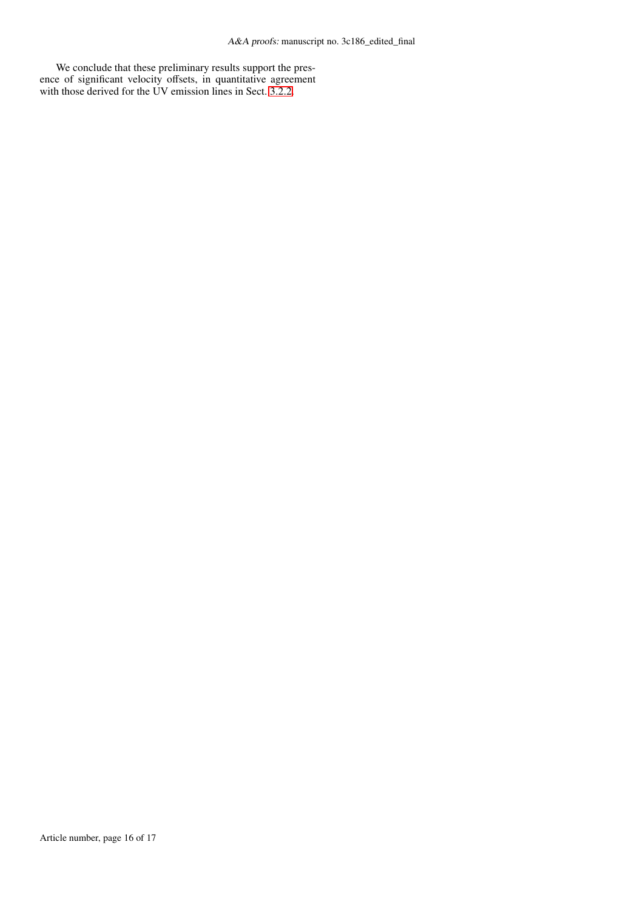We conclude that these preliminary results support the presence of significant velocity offsets, in quantitative agreement with those derived for the UV emission lines in Sect. [3.2.2.](#page-6-2)